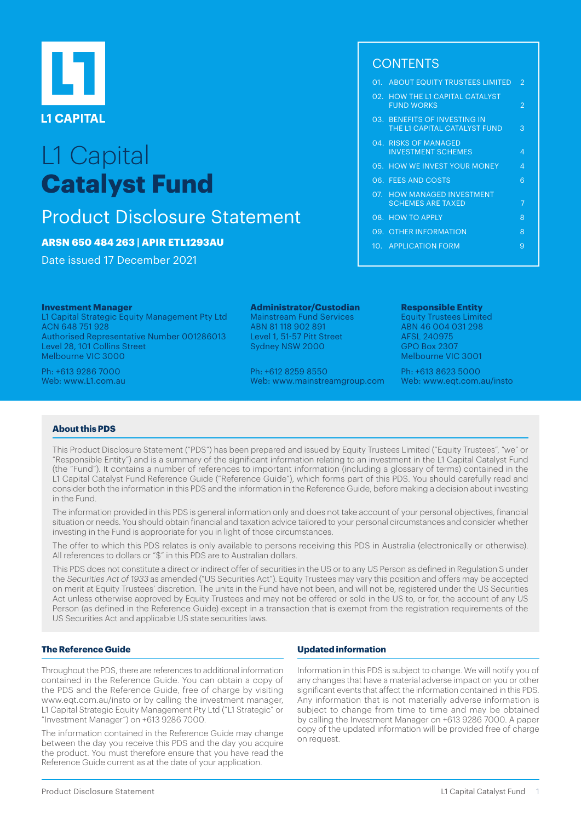

# L1 Capital **Catalyst Fund**

# Product Disclosure Statement

# **ARSN 650 484 263 | APIR ETL1293AU**

Date issued 17 December 2021

#### **Investment Manager**

L1 Capital Strategic Equity Management Pty Ltd ACN 648 751 928 Authorised Representative Number 001286013 Level 28, 101 Collins Street Melbourne VIC 3000

Ph: +613 9286 7000 Web: www.L1.com.au

# **Administrator/Custodian**

Mainstream Fund Services ABN 81 118 902 891 Level 1, 51-57 Pitt Street Sydney NSW 2000

Ph: +612 8259 8550 Web: www.mainstreamgroup.com

# **CONTENTS**

|  | 01. ABOUT EQUITY TRUSTEES LIMITED                            | $\overline{2}$ |
|--|--------------------------------------------------------------|----------------|
|  | 02. HOW THE L1 CAPITAL CATALYST<br><b>FUND WORKS</b>         | 2              |
|  | 03. BENEFITS OF INVESTING IN<br>THE L1 CAPITAL CATALYST FUND | З              |
|  | 04. RISKS OF MANAGED<br><b>INVESTMENT SCHEMES</b>            | 4              |
|  | 05. HOW WE INVEST YOUR MONEY                                 | Δ              |
|  | 06. FEES AND COSTS                                           | 6              |
|  | 07. HOW MANAGED INVESTMENT<br><b>SCHEMES ARE TAXED</b>       | 7              |
|  | 08. HOW TO APPLY                                             | 8              |
|  | 09. OTHER INFORMATION                                        | 8              |
|  | 10. APPLICATION FORM                                         | 9              |
|  |                                                              |                |

#### **Responsible Entity**  Equity Trustees Limited

ABN 46 004 031 298 AFSL 240975 GPO Box 2307 Melbourne VIC 3001

Ph: +613 8623 5000 Web: www.eqt.com.au/insto

## **About this PDS**

This Product Disclosure Statement ("PDS") has been prepared and issued by Equity Trustees Limited ("Equity Trustees", "we" or "Responsible Entity") and is a summary of the significant information relating to an investment in the L1 Capital Catalyst Fund (the "Fund"). It contains a number of references to important information (including a glossary of terms) contained in the L1 Capital Catalyst Fund Reference Guide ("Reference Guide"), which forms part of this PDS. You should carefully read and consider both the information in this PDS and the information in the Reference Guide, before making a decision about investing in the Fund.

The information provided in this PDS is general information only and does not take account of your personal objectives, financial situation or needs. You should obtain financial and taxation advice tailored to your personal circumstances and consider whether investing in the Fund is appropriate for you in light of those circumstances.

The offer to which this PDS relates is only available to persons receiving this PDS in Australia (electronically or otherwise). All references to dollars or "\$" in this PDS are to Australian dollars.

This PDS does not constitute a direct or indirect offer of securities in the US or to any US Person as defined in Regulation S under the Securities Act of 1933 as amended ("US Securities Act"). Equity Trustees may vary this position and offers may be accepted on merit at Equity Trustees' discretion. The units in the Fund have not been, and will not be, registered under the US Securities Act unless otherwise approved by Equity Trustees and may not be offered or sold in the US to, or for, the account of any US Person (as defined in the Reference Guide) except in a transaction that is exempt from the registration requirements of the US Securities Act and applicable US state securities laws.

# **The Reference Guide**

Throughout the PDS, there are references to additional information contained in the Reference Guide. You can obtain a copy of the PDS and the Reference Guide, free of charge by visiting www.eqt.com.au/insto or by calling the investment manager, L1 Capital Strategic Equity Management Pty Ltd ("L1 Strategic" or "Investment Manager") on +613 9286 7000.

The information contained in the Reference Guide may change between the day you receive this PDS and the day you acquire the product. You must therefore ensure that you have read the Reference Guide current as at the date of your application.

#### **Updated information**

Information in this PDS is subject to change. We will notify you of any changes that have a material adverse impact on you or other significant events that affect the information contained in this PDS. Any information that is not materially adverse information is subject to change from time to time and may be obtained by calling the Investment Manager on +613 9286 7000. A paper copy of the updated information will be provided free of charge on request.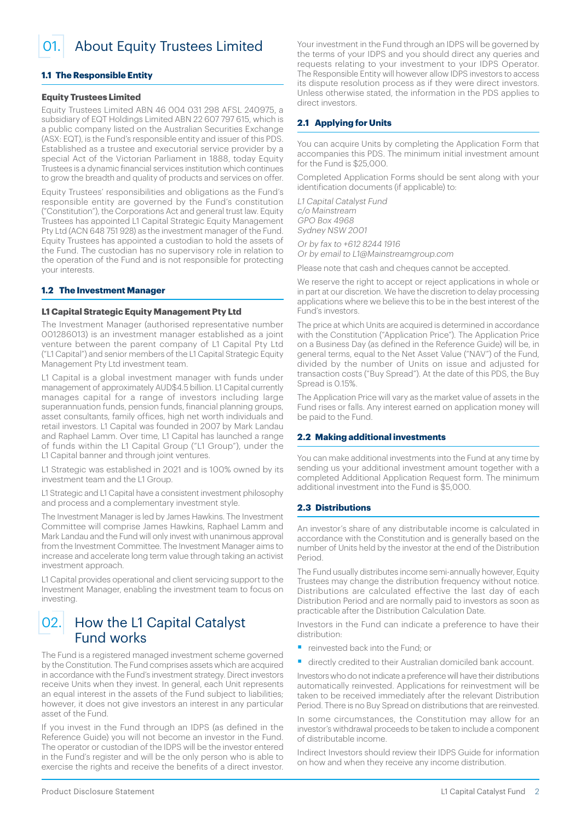<span id="page-1-0"></span>01. About Equity Trustees Limited

#### **1.1 The Responsible Entity**

#### **Equity Trustees Limited**

Equity Trustees Limited ABN 46 004 031 298 AFSL 240975, a subsidiary of EQT Holdings Limited ABN 22 607 797 615, which is a public company listed on the Australian Securities Exchange (ASX: EQT), is the Fund's responsible entity and issuer of this PDS. Established as a trustee and executorial service provider by a special Act of the Victorian Parliament in 1888, today Equity Trustees is a dynamic financial services institution which continues to grow the breadth and quality of products and services on offer.

Equity Trustees' responsibilities and obligations as the Fund's responsible entity are governed by the Fund's constitution ("Constitution"), the Corporations Act and general trust law. Equity Trustees has appointed L1 Capital Strategic Equity Management Pty Ltd (ACN 648 751 928) as the investment manager of the Fund. Equity Trustees has appointed a custodian to hold the assets of the Fund. The custodian has no supervisory role in relation to the operation of the Fund and is not responsible for protecting your interests.

#### **1.2 The Investment Manager**

#### **L1 Capital Strategic Equity Management Pty Ltd**

The Investment Manager (authorised representative number 001286013) is an investment manager established as a joint venture between the parent company of L1 Capital Pty Ltd ("L1 Capital") and senior members of the L1 Capital Strategic Equity Management Pty Ltd investment team.

L1 Capital is a global investment manager with funds under management of approximately AUD\$4.5 billion. L1 Capital currently manages capital for a range of investors including large superannuation funds, pension funds, financial planning groups, asset consultants, family offices, high net worth individuals and retail investors. L1 Capital was founded in 2007 by Mark Landau and Raphael Lamm. Over time, L1 Capital has launched a range of funds within the L1 Capital Group ("L1 Group"), under the L1 Capital banner and through joint ventures.

L1 Strategic was established in 2021 and is 100% owned by its investment team and the L1 Group.

L1 Strategic and L1 Capital have a consistent investment philosophy and process and a complementary investment style.

The Investment Manager is led by James Hawkins. The Investment Committee will comprise James Hawkins, Raphael Lamm and Mark Landau and the Fund will only invest with unanimous approval from the Investment Committee. The Investment Manager aims to increase and accelerate long term value through taking an activist investment approach.

L1 Capital provides operational and client servicing support to the Investment Manager, enabling the investment team to focus on investing.

# 02. How the L1 Capital Catalyst Fund works

The Fund is a registered managed investment scheme governed by the Constitution. The Fund comprises assets which are acquired in accordance with the Fund's investment strategy. Direct investors receive Units when they invest. In general, each Unit represents an equal interest in the assets of the Fund subject to liabilities; however, it does not give investors an interest in any particular asset of the Fund.

If you invest in the Fund through an IDPS (as defined in the Reference Guide) you will not become an investor in the Fund. The operator or custodian of the IDPS will be the investor entered in the Fund's register and will be the only person who is able to exercise the rights and receive the benefits of a direct investor.

Your investment in the Fund through an IDPS will be governed by the terms of your IDPS and you should direct any queries and requests relating to your investment to your IDPS Operator. The Responsible Entity will however allow IDPS investors to access its dispute resolution process as if they were direct investors. Unless otherwise stated, the information in the PDS applies to direct investors.

#### **2.1 Applying for Units**

You can acquire Units by completing the Application Form that accompanies this PDS. The minimum initial investment amount for the Fund is \$25,000.

Completed Application Forms should be sent along with your identification documents (if applicable) to:

L1 Capital Catalyst Fund c/o Mainstream GPO Box 4968 Sydney NSW 2001

Or by fax to +612 8244 1916

Or by email to L1@Mainstreamgroup.com

Please note that cash and cheques cannot be accepted.

We reserve the right to accept or reject applications in whole or in part at our discretion. We have the discretion to delay processing applications where we believe this to be in the best interest of the Fund's investors.

The price at which Units are acquired is determined in accordance with the Constitution ("Application Price"). The Application Price on a Business Day (as defined in the Reference Guide) will be, in general terms, equal to the Net Asset Value ("NAV") of the Fund, divided by the number of Units on issue and adjusted for transaction costs ("Buy Spread"). At the date of this PDS, the Buy Spread is 0.15%.

The Application Price will vary as the market value of assets in the Fund rises or falls. Any interest earned on application money will be paid to the Fund.

#### **2.2 Making additional investments**

You can make additional investments into the Fund at any time by sending us your additional investment amount together with a completed Additional Application Request form. The minimum additional investment into the Fund is \$5,000.

#### **2.3 Distributions**

An investor's share of any distributable income is calculated in accordance with the Constitution and is generally based on the number of Units held by the investor at the end of the Distribution Period.

The Fund usually distributes income semi-annually however, Equity Trustees may change the distribution frequency without notice. Distributions are calculated effective the last day of each Distribution Period and are normally paid to investors as soon as practicable after the Distribution Calculation Date.

Investors in the Fund can indicate a preference to have their distribution:

- reinvested back into the Fund; or
- directly credited to their Australian domiciled bank account.

Investors who do not indicate a preference will have their distributions automatically reinvested. Applications for reinvestment will be taken to be received immediately after the relevant Distribution Period. There is no Buy Spread on distributions that are reinvested.

In some circumstances, the Constitution may allow for an investor's withdrawal proceeds to be taken to include a component of distributable income.

Indirect Investors should review their IDPS Guide for information on how and when they receive any income distribution.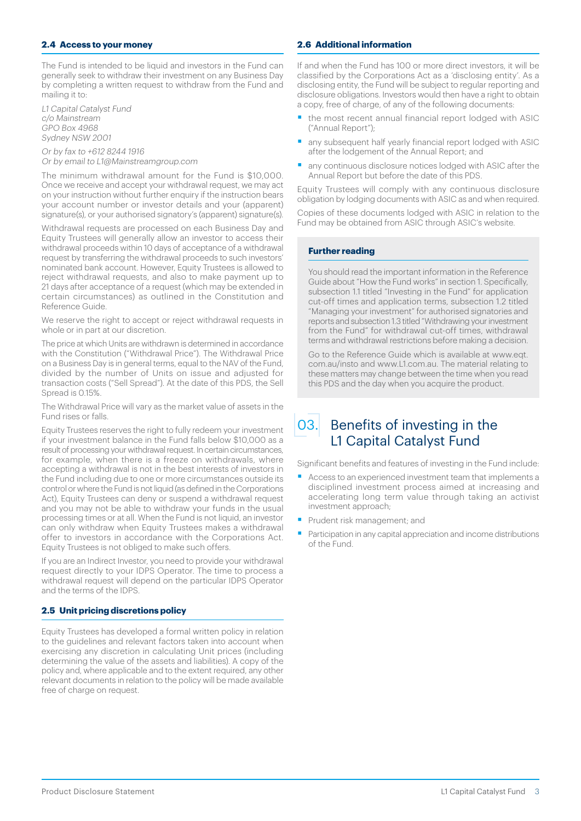#### <span id="page-2-0"></span>**2.4 Access to your money**

The Fund is intended to be liquid and investors in the Fund can generally seek to withdraw their investment on any Business Day by completing a written request to withdraw from the Fund and mailing it to:

L1 Capital Catalyst Fund c/o Mainstream GPO Box 4968 Sydney NSW 2001

Or by fax to +612 8244 1916 Or by email to L1@Mainstreamgroup.com

The minimum withdrawal amount for the Fund is \$10,000. Once we receive and accept your withdrawal request, we may act on your instruction without further enquiry if the instruction bears your account number or investor details and your (apparent) signature(s), or your authorised signatory's (apparent) signature(s).

Withdrawal requests are processed on each Business Day and Equity Trustees will generally allow an investor to access their withdrawal proceeds within 10 days of acceptance of a withdrawal request by transferring the withdrawal proceeds to such investors' nominated bank account. However, Equity Trustees is allowed to reject withdrawal requests, and also to make payment up to 21 days after acceptance of a request (which may be extended in certain circumstances) as outlined in the Constitution and Reference Guide.

We reserve the right to accept or reject withdrawal requests in whole or in part at our discretion.

The price at which Units are withdrawn is determined in accordance with the Constitution ("Withdrawal Price"). The Withdrawal Price on a Business Day is in general terms, equal to the NAV of the Fund, divided by the number of Units on issue and adjusted for transaction costs ("Sell Spread"). At the date of this PDS, the Sell Spread is 0.15%

The Withdrawal Price will vary as the market value of assets in the Fund rises or falls.

Equity Trustees reserves the right to fully redeem your investment if your investment balance in the Fund falls below \$10,000 as a result of processing your withdrawal request. In certain circumstances, for example, when there is a freeze on withdrawals, where accepting a withdrawal is not in the best interests of investors in the Fund including due to one or more circumstances outside its control or where the Fund is not liquid (as defined in the Corporations Act), Equity Trustees can deny or suspend a withdrawal request and you may not be able to withdraw your funds in the usual processing times or at all. When the Fund is not liquid, an investor can only withdraw when Equity Trustees makes a withdrawal offer to investors in accordance with the Corporations Act. Equity Trustees is not obliged to make such offers.

If you are an Indirect Investor, you need to provide your withdrawal request directly to your IDPS Operator. The time to process a withdrawal request will depend on the particular IDPS Operator and the terms of the IDPS.

## **2.5 Unit pricing discretions policy**

Equity Trustees has developed a formal written policy in relation to the guidelines and relevant factors taken into account when exercising any discretion in calculating Unit prices (including determining the value of the assets and liabilities). A copy of the policy and, where applicable and to the extent required, any other relevant documents in relation to the policy will be made available free of charge on request.

#### **2.6 Additional information**

If and when the Fund has 100 or more direct investors, it will be classified by the Corporations Act as a 'disclosing entity'. As a disclosing entity, the Fund will be subject to regular reporting and disclosure obligations. Investors would then have a right to obtain a copy, free of charge, of any of the following documents:

- § the most recent annual financial report lodged with ASIC ("Annual Report");
- any subsequent half yearly financial report lodged with ASIC after the lodgement of the Annual Report; and
- any continuous disclosure notices lodged with ASIC after the Annual Report but before the date of this PDS.

Equity Trustees will comply with any continuous disclosure obligation by lodging documents with ASIC as and when required.

Copies of these documents lodged with ASIC in relation to the Fund may be obtained from ASIC through ASIC's website.

#### **Further reading**

You should read the important information in the Reference Guide about "How the Fund works" in section 1. Specifically, subsection 1.1 titled "Investing in the Fund" for application cut-off times and application terms, subsection 1.2 titled "Managing your investment" for authorised signatories and reports and subsection 1.3 titled "Withdrawing your investment from the Fund" for withdrawal cut-off times, withdrawal terms and withdrawal restrictions before making a decision.

Go to the Reference Guide which is available at [www.eqt.](www.eqt.com.au/insto) [com.au/insto](www.eqt.com.au/insto) and www.L1.com.au. The material relating to these matters may change between the time when you read this PDS and the day when you acquire the product.

03. Benefits of investing in the L1 Capital Catalyst Fund

Significant benefits and features of investing in the Fund include:

- Access to an experienced investment team that implements a disciplined investment process aimed at increasing and accelerating long term value through taking an activist investment approach;
- **•** Prudent risk management; and
- Participation in any capital appreciation and income distributions of the Fund.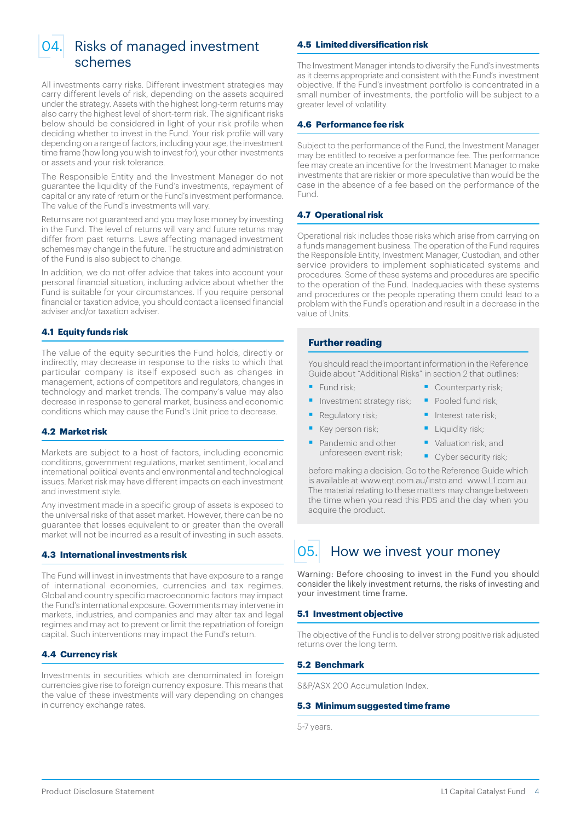<span id="page-3-0"></span>

# 04. Risks of managed investment schemes

All investments carry risks. Different investment strategies may carry different levels of risk, depending on the assets acquired under the strategy. Assets with the highest long-term returns may also carry the highest level of short-term risk. The significant risks below should be considered in light of your risk profile when deciding whether to invest in the Fund. Your risk profile will vary depending on a range of factors, including your age, the investment time frame (how long you wish to invest for), your other investments or assets and your risk tolerance.

The Responsible Entity and the Investment Manager do not guarantee the liquidity of the Fund's investments, repayment of capital or any rate of return or the Fund's investment performance. The value of the Fund's investments will vary.

Returns are not guaranteed and you may lose money by investing in the Fund. The level of returns will vary and future returns may differ from past returns. Laws affecting managed investment schemes may change in the future. The structure and administration of the Fund is also subject to change.

In addition, we do not offer advice that takes into account your personal financial situation, including advice about whether the Fund is suitable for your circumstances. If you require personal financial or taxation advice, you should contact a licensed financial adviser and/or taxation adviser.

#### **4.1 Equity funds risk**

The value of the equity securities the Fund holds, directly or indirectly, may decrease in response to the risks to which that particular company is itself exposed such as changes in management, actions of competitors and regulators, changes in technology and market trends. The company's value may also decrease in response to general market, business and economic conditions which may cause the Fund's Unit price to decrease.

#### **4.2 Market risk**

Markets are subject to a host of factors, including economic conditions, government regulations, market sentiment, local and international political events and environmental and technological issues. Market risk may have different impacts on each investment and investment style.

Any investment made in a specific group of assets is exposed to the universal risks of that asset market. However, there can be no guarantee that losses equivalent to or greater than the overall market will not be incurred as a result of investing in such assets.

#### **4.3 International investments risk**

The Fund will invest in investments that have exposure to a range of international economies, currencies and tax regimes. Global and country specific macroeconomic factors may impact the Fund's international exposure. Governments may intervene in markets, industries, and companies and may alter tax and legal regimes and may act to prevent or limit the repatriation of foreign capital. Such interventions may impact the Fund's return.

## **4.4 Currency risk**

Investments in securities which are denominated in foreign currencies give rise to foreign currency exposure. This means that the value of these investments will vary depending on changes in currency exchange rates.

## **4.5 Limited diversification risk**

The Investment Manager intends to diversify the Fund's investments as it deems appropriate and consistent with the Fund's investment objective. If the Fund's investment portfolio is concentrated in a small number of investments, the portfolio will be subject to a greater level of volatility.

#### **4.6 Performance fee risk**

Subject to the performance of the Fund, the Investment Manager may be entitled to receive a performance fee. The performance fee may create an incentive for the Investment Manager to make investments that are riskier or more speculative than would be the case in the absence of a fee based on the performance of the Fund.

# **4.7 Operational risk**

Operational risk includes those risks which arise from carrying on a funds management business. The operation of the Fund requires the Responsible Entity, Investment Manager, Custodian, and other service providers to implement sophisticated systems and procedures. Some of these systems and procedures are specific to the operation of the Fund. Inadequacies with these systems and procedures or the people operating them could lead to a problem with the Fund's operation and result in a decrease in the value of Units.

# **Further reading**

You should read the important information in the Reference Guide about "Additional Risks" in section 2 that outlines:

- Fund risk-
- **•** Investment strategy risk:
	- Regulatory risk:
- § Key person risk;
- Pandemic and other unforeseen event risk;
- Counterparty risk;
- Pooled fund risk:
- Interest rate risk:
- Liquidity risk:
- Valuation risk: and
	- Cyber security risk:

before making a decision. Go to the Reference Guide which is available at www.eqt.com.au/insto and www.L1.com.au. The material relating to these matters may change between the time when you read this PDS and the day when you acquire the product.

# 05. How we invest your money

Warning: Before choosing to invest in the Fund you should consider the likely investment returns, the risks of investing and your investment time frame.

#### **5.1 Investment objective**

The objective of the Fund is to deliver strong positive risk adjusted returns over the long term.

## **5.2 Benchmark**

S&P/ASX 200 Accumulation Index.

#### **5.3 Minimum suggested time frame**

5-7 years.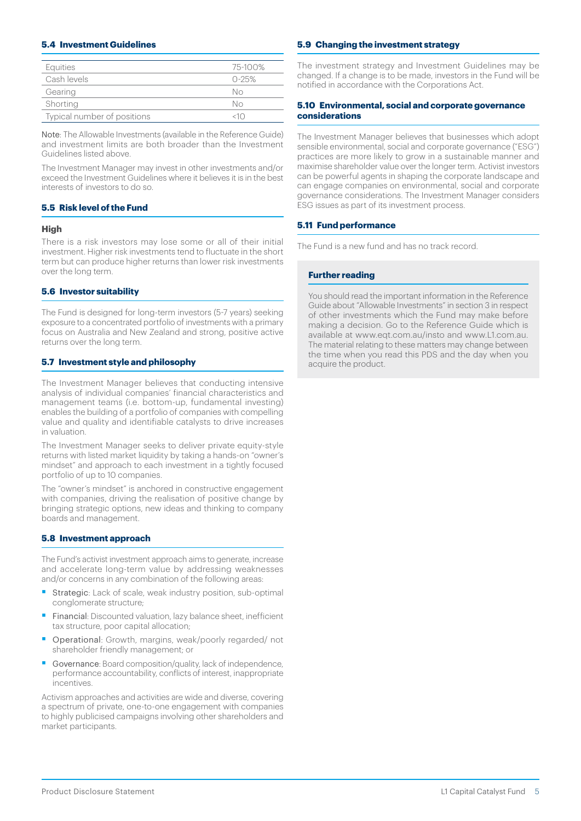#### **5.4 Investment Guidelines**

| Equities                    | 75-100%   |
|-----------------------------|-----------|
| Cash levels                 | $0 - 25%$ |
| Gearing                     | Nο        |
| Shorting                    | Nο        |
| Typical number of positions |           |

Note: The Allowable Investments (available in the Reference Guide) and investment limits are both broader than the Investment Guidelines listed above.

The Investment Manager may invest in other investments and/or exceed the Investment Guidelines where it believes it is in the best interests of investors to do so.

#### **5.5 Risk level of the Fund**

#### **High**

There is a risk investors may lose some or all of their initial investment. Higher risk investments tend to fluctuate in the short term but can produce higher returns than lower risk investments over the long term.

#### **5.6 Investor suitability**

The Fund is designed for long-term investors (5-7 years) seeking exposure to a concentrated portfolio of investments with a primary focus on Australia and New Zealand and strong, positive active returns over the long term.

#### **5.7 Investment style and philosophy**

The Investment Manager believes that conducting intensive analysis of individual companies' financial characteristics and management teams (i.e. bottom-up, fundamental investing) enables the building of a portfolio of companies with compelling value and quality and identifiable catalysts to drive increases in valuation.

The Investment Manager seeks to deliver private equity-style returns with listed market liquidity by taking a hands-on "owner's mindset" and approach to each investment in a tightly focused portfolio of up to 10 companies.

The "owner's mindset" is anchored in constructive engagement with companies, driving the realisation of positive change by bringing strategic options, new ideas and thinking to company boards and management.

#### **5.8 Investment approach**

The Fund's activist investment approach aims to generate, increase and accelerate long-term value by addressing weaknesses and/or concerns in any combination of the following areas:

- Strategic: Lack of scale, weak industry position, sub-optimal conglomerate structure;
- Financial: Discounted valuation, lazy balance sheet, inefficient tax structure, poor capital allocation;
- Operational: Growth, margins, weak/poorly regarded/ not shareholder friendly management; or
- § Governance: Board composition/quality, lack of independence, performance accountability, conflicts of interest, inappropriate incentives.

Activism approaches and activities are wide and diverse, covering a spectrum of private, one-to-one engagement with companies to highly publicised campaigns involving other shareholders and market participants.

#### **5.9 Changing the investment strategy**

The investment strategy and Investment Guidelines may be changed. If a change is to be made, investors in the Fund will be notified in accordance with the Corporations Act.

#### **5.10 Environmental, social and corporate governance considerations**

The Investment Manager believes that businesses which adopt sensible environmental, social and corporate governance ("ESG") practices are more likely to grow in a sustainable manner and maximise shareholder value over the longer term. Activist investors can be powerful agents in shaping the corporate landscape and can engage companies on environmental, social and corporate governance considerations. The Investment Manager considers ESG issues as part of its investment process.

#### **5.11 Fund performance**

The Fund is a new fund and has no track record.

#### **Further reading**

You should read the important information in the Reference Guide about "Allowable Investments" in section 3 in respect of other investments which the Fund may make before making a decision. Go to the Reference Guide which is available at www.eqt.com.au/insto and www.L1.com.au. The material relating to these matters may change between the time when you read this PDS and the day when you acquire the product.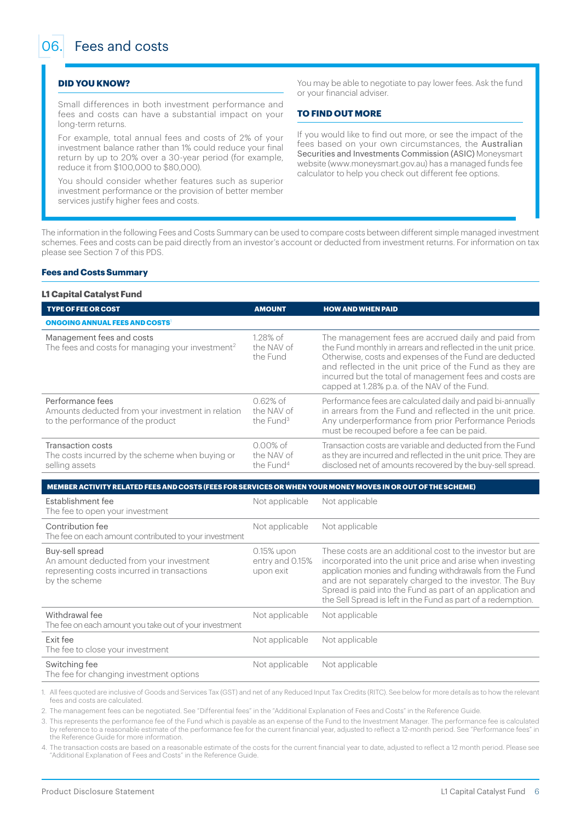#### <span id="page-5-0"></span>**DID YOU KNOW?**

Small differences in both investment performance and fees and costs can have a substantial impact on your long-term returns.

For example, total annual fees and costs of 2% of your investment balance rather than 1% could reduce your final return by up to 20% over a 30-year period (for example, reduce it from \$100,000 to \$80,000).

You should consider whether features such as superior investment performance or the provision of better member services justify higher fees and costs.

You may be able to negotiate to pay lower fees. Ask the fund or your financial adviser.

#### **TO FIND OUT MORE**

If you would like to find out more, or see the impact of the fees based on your own circumstances, the Australian Securities and Investments Commission (ASIC) Moneysmart website (www.moneysmart.gov.au) has a managed funds fee calculator to help you check out different fee options.

The information in the following Fees and Costs Summary can be used to compare costs between different simple managed investment schemes. Fees and costs can be paid directly from an investor's account or deducted from investment returns. For information on tax please see Section 7 of this PDS.

#### **Fees and Costs Summary**

#### **L1 Capital Catalyst Fund**

| <b>TYPE OF FEE OR COST</b>                                                                                 | <b>AMOUNT</b>                                      | <b>HOW AND WHEN PAID</b>                                                                                                                                                                                                                                                                                                                            |
|------------------------------------------------------------------------------------------------------------|----------------------------------------------------|-----------------------------------------------------------------------------------------------------------------------------------------------------------------------------------------------------------------------------------------------------------------------------------------------------------------------------------------------------|
| <b>ONGOING ANNUAL FEES AND COSTS</b>                                                                       |                                                    |                                                                                                                                                                                                                                                                                                                                                     |
| Management fees and costs<br>The fees and costs for managing your investment <sup>2</sup>                  | $1.28\%$ of<br>the NAV of<br>the Fund              | The management fees are accrued daily and paid from<br>the Fund monthly in arrears and reflected in the unit price.<br>Otherwise, costs and expenses of the Fund are deducted<br>and reflected in the unit price of the Fund as they are<br>incurred but the total of management fees and costs are<br>capped at 1.28% p.a. of the NAV of the Fund. |
| Performance fees<br>Amounts deducted from your investment in relation<br>to the performance of the product | $0.62%$ of<br>the NAV of<br>the Fund <sup>3</sup>  | Performance fees are calculated daily and paid bi-annually<br>in arrears from the Fund and reflected in the unit price.<br>Any underperformance from prior Performance Periods<br>must be recouped before a fee can be paid.                                                                                                                        |
| Transaction costs<br>The costs incurred by the scheme when buying or<br>selling assets                     | $0.00\%$ of<br>the NAV of<br>the Fund <sup>4</sup> | Transaction costs are variable and deducted from the Fund<br>as they are incurred and reflected in the unit price. They are<br>disclosed net of amounts recovered by the buy-sell spread.                                                                                                                                                           |

#### **MEMBER ACTIVITY RELATED FEES AND COSTS (FEES FOR SERVICES OR WHEN YOUR MONEY MOVES IN OR OUT OF THE SCHEME)**

| Establishment fee<br>The fee to open your investment                                                                       | Not applicable                             | Not applicable                                                                                                                                                                                                                                                                                                                                                               |
|----------------------------------------------------------------------------------------------------------------------------|--------------------------------------------|------------------------------------------------------------------------------------------------------------------------------------------------------------------------------------------------------------------------------------------------------------------------------------------------------------------------------------------------------------------------------|
| Contribution fee<br>The fee on each amount contributed to your investment                                                  | Not applicable                             | Not applicable                                                                                                                                                                                                                                                                                                                                                               |
| Buy-sell spread<br>An amount deducted from your investment<br>representing costs incurred in transactions<br>by the scheme | 0.15% upon<br>entry and 0.15%<br>upon exit | These costs are an additional cost to the investor but are<br>incorporated into the unit price and arise when investing<br>application monies and funding withdrawals from the Fund<br>and are not separately charged to the investor. The Buy<br>Spread is paid into the Fund as part of an application and<br>the Sell Spread is left in the Fund as part of a redemption. |
| Withdrawal fee<br>The fee on each amount you take out of your investment                                                   | Not applicable                             | Not applicable                                                                                                                                                                                                                                                                                                                                                               |
| <b>Fxit fee</b><br>The fee to close your investment                                                                        | Not applicable                             | Not applicable                                                                                                                                                                                                                                                                                                                                                               |
| Switching fee<br>The fee for changing investment options                                                                   | Not applicable                             | Not applicable                                                                                                                                                                                                                                                                                                                                                               |

1. All fees quoted are inclusive of Goods and Services Tax (GST) and net of any Reduced Input Tax Credits (RITC). See below for more details as to how the relevant fees and costs are calculated.

2. The management fees can be negotiated. See "Differential fees" in the "Additional Explanation of Fees and Costs" in the Reference Guide.

3. This represents the performance fee of the Fund which is payable as an expense of the Fund to the Investment Manager. The performance fee is calculated by reference to a reasonable estimate of the performance fee for the current financial year, adjusted to reflect a 12-month period. See "Performance fees" in the Reference Guide for more information.

4. The transaction costs are based on a reasonable estimate of the costs for the current financial year to date, adjusted to reflect a 12 month period. Please see "Additional Explanation of Fees and Costs" in the Reference Guide.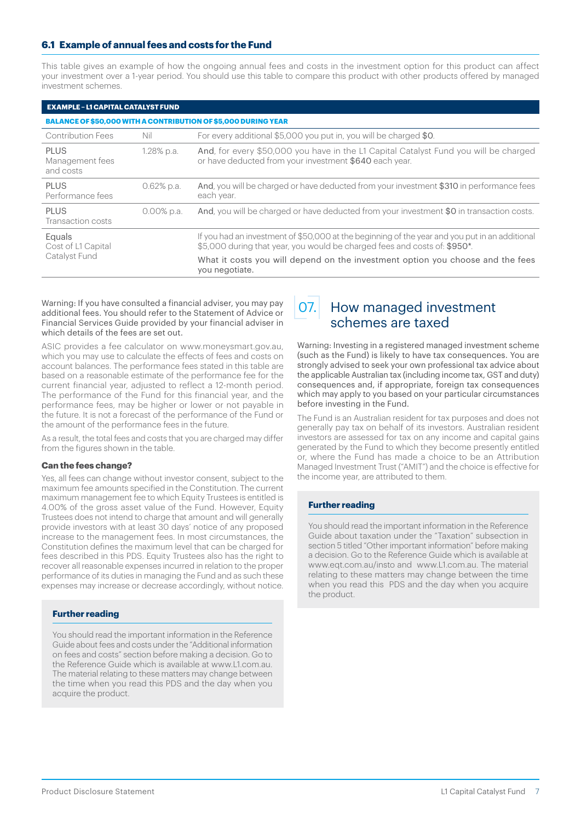# <span id="page-6-0"></span>**6.1 Example of annual fees and costs for the Fund**

This table gives an example of how the ongoing annual fees and costs in the investment option for this product can affect your investment over a 1-year period. You should use this table to compare this product with other products offered by managed investment schemes.

| <b>EXAMPLE - L1 CAPITAL CATALYST FUND</b> |                                                                       |                                                                                                                                                                             |  |  |  |
|-------------------------------------------|-----------------------------------------------------------------------|-----------------------------------------------------------------------------------------------------------------------------------------------------------------------------|--|--|--|
|                                           | <b>BALANCE OF \$50,000 WITH A CONTRIBUTION OF \$5,000 DURING YEAR</b> |                                                                                                                                                                             |  |  |  |
| <b>Contribution Fees</b>                  | Nil                                                                   | For every additional \$5,000 you put in, you will be charged \$0.                                                                                                           |  |  |  |
| PI US<br>Management fees<br>and costs     | 1.28% p.a.                                                            | And, for every \$50,000 you have in the L1 Capital Catalyst Fund you will be charged<br>or have deducted from your investment \$640 each year.                              |  |  |  |
| <b>PLUS</b><br>Performance fees           | $0.62\%$ p.a.                                                         | And, you will be charged or have deducted from your investment \$310 in performance fees<br>each year.                                                                      |  |  |  |
| <b>PLUS</b><br>Transaction costs          | $0.00\%$ p.a.                                                         | And, you will be charged or have deducted from your investment \$0 in transaction costs.                                                                                    |  |  |  |
| Equals<br>Cost of L1 Capital              |                                                                       | If you had an investment of \$50,000 at the beginning of the year and you put in an additional<br>\$5,000 during that year, you would be charged fees and costs of: \$950*. |  |  |  |
| Catalyst Fund                             |                                                                       | What it costs you will depend on the investment option you choose and the fees<br>you negotiate.                                                                            |  |  |  |

Warning: If you have consulted a financial adviser, you may pay additional fees. You should refer to the Statement of Advice or Financial Services Guide provided by your financial adviser in which details of the fees are set out.

ASIC provides a fee calculator on www.moneysmart.gov.au, which you may use to calculate the effects of fees and costs on account balances. The performance fees stated in this table are based on a reasonable estimate of the performance fee for the current financial year, adjusted to reflect a 12-month period. The performance of the Fund for this financial year, and the performance fees, may be higher or lower or not payable in the future. It is not a forecast of the performance of the Fund or the amount of the performance fees in the future.

As a result, the total fees and costs that you are charged may differ from the figures shown in the table.

#### **Can the fees change?**

Yes, all fees can change without investor consent, subject to the maximum fee amounts specified in the Constitution. The current maximum management fee to which Equity Trustees is entitled is 4.00% of the gross asset value of the Fund. However, Equity Trustees does not intend to charge that amount and will generally provide investors with at least 30 days' notice of any proposed increase to the management fees. In most circumstances, the Constitution defines the maximum level that can be charged for fees described in this PDS. Equity Trustees also has the right to recover all reasonable expenses incurred in relation to the proper performance of its duties in managing the Fund and as such these expenses may increase or decrease accordingly, without notice.

#### **Further reading**

You should read the important information in the Reference Guide about fees and costs under the "Additional information on fees and costs" section before making a decision. Go to the Reference Guide which is available at www.L1.com.au. The material relating to these matters may change between the time when you read this PDS and the day when you acquire the product.

# 07. How managed investment schemes are taxed

Warning: Investing in a registered managed investment scheme (such as the Fund) is likely to have tax consequences. You are strongly advised to seek your own professional tax advice about the applicable Australian tax (including income tax, GST and duty) consequences and, if appropriate, foreign tax consequences which may apply to you based on your particular circumstances before investing in the Fund.

The Fund is an Australian resident for tax purposes and does not generally pay tax on behalf of its investors. Australian resident investors are assessed for tax on any income and capital gains generated by the Fund to which they become presently entitled or, where the Fund has made a choice to be an Attribution Managed Investment Trust ("AMIT") and the choice is effective for the income year, are attributed to them.

#### **Further reading**

You should read the important information in the Reference Guide about taxation under the "Taxation" subsection in section 5 titled "Other important information" before making a decision. Go to the Reference Guide which is available at www.eqt.com.au/insto and www.L1.com.au. The material relating to these matters may change between the time when you read this PDS and the day when you acquire the product.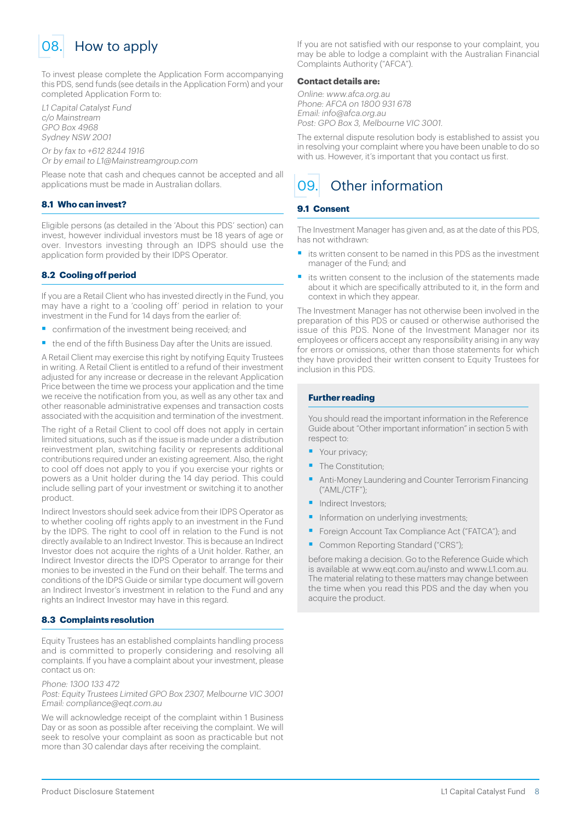<span id="page-7-0"></span>

To invest please complete the Application Form accompanying this PDS, send funds (see details in the Application Form) and your completed Application Form to:

L1 Capital Catalyst Fund c/o Mainstream GPO Box 4968 Sydney NSW 2001

Or by fax to +612 8244 1916 Or by email to L1@Mainstreamgroup.com

Please note that cash and cheques cannot be accepted and all applications must be made in Australian dollars.

#### **8.1 Who can invest?**

Eligible persons (as detailed in the 'About this PDS' section) can invest, however individual investors must be 18 years of age or over. Investors investing through an IDPS should use the application form provided by their IDPS Operator.

#### **8.2 Cooling off period**

If you are a Retail Client who has invested directly in the Fund, you may have a right to a 'cooling off' period in relation to your investment in the Fund for 14 days from the earlier of:

- confirmation of the investment being received; and
- the end of the fifth Business Day after the Units are issued.

A Retail Client may exercise this right by notifying Equity Trustees in writing. A Retail Client is entitled to a refund of their investment adjusted for any increase or decrease in the relevant Application Price between the time we process your application and the time we receive the notification from you, as well as any other tax and other reasonable administrative expenses and transaction costs associated with the acquisition and termination of the investment.

The right of a Retail Client to cool off does not apply in certain limited situations, such as if the issue is made under a distribution reinvestment plan, switching facility or represents additional contributions required under an existing agreement. Also, the right to cool off does not apply to you if you exercise your rights or powers as a Unit holder during the 14 day period. This could include selling part of your investment or switching it to another product.

Indirect Investors should seek advice from their IDPS Operator as to whether cooling off rights apply to an investment in the Fund by the IDPS. The right to cool off in relation to the Fund is not directly available to an Indirect Investor. This is because an Indirect Investor does not acquire the rights of a Unit holder. Rather, an Indirect Investor directs the IDPS Operator to arrange for their monies to be invested in the Fund on their behalf. The terms and conditions of the IDPS Guide or similar type document will govern an Indirect Investor's investment in relation to the Fund and any rights an Indirect Investor may have in this regard.

#### **8.3 Complaints resolution**

Equity Trustees has an established complaints handling process and is committed to properly considering and resolving all complaints. If you have a complaint about your investment, please contact us on:

Phone: 1300 133 472

Post: Equity Trustees Limited GPO Box 2307, Melbourne VIC 3001 Email: compliance@eqt.com.au

We will acknowledge receipt of the complaint within 1 Business Day or as soon as possible after receiving the complaint. We will seek to resolve your complaint as soon as practicable but not more than 30 calendar days after receiving the complaint.

If you are not satisfied with our response to your complaint, you may be able to lodge a complaint with the Australian Financial Complaints Authority ("AFCA").

#### **Contact details are:**

Online: www.afca.org.au Phone: AFCA on 1800 931 678 Email: info@afca.org.au Post: GPO Box 3, Melbourne VIC 3001.

The external dispute resolution body is established to assist you in resolving your complaint where you have been unable to do so with us. However, it's important that you contact us first.

# 09. Other information

## **9.1 Consent**

The Investment Manager has given and, as at the date of this PDS, has not withdrawn:

- its written consent to be named in this PDS as the investment manager of the Fund; and
- its written consent to the inclusion of the statements made about it which are specifically attributed to it, in the form and context in which they appear.

The Investment Manager has not otherwise been involved in the preparation of this PDS or caused or otherwise authorised the issue of this PDS. None of the Investment Manager nor its employees or officers accept any responsibility arising in any way for errors or omissions, other than those statements for which they have provided their written consent to Equity Trustees for inclusion in this PDS.

#### **Further reading**

You should read the important information in the Reference Guide about "Other important information" in section 5 with respect to:

- Your privacy;
- The Constitution<sup>®</sup>
- § Anti-Money Laundering and Counter Terrorism Financing ("AML/CTF");
- § Indirect Investors;
- Information on underlying investments;
- § Foreign Account Tax Compliance Act ("FATCA"); and
- Common Reporting Standard ("CRS");

before making a decision. Go to the Reference Guide which is available at www.eqt.com.au/insto and www.L1.com.au. The material relating to these matters may change between the time when you read this PDS and the day when you acquire the product.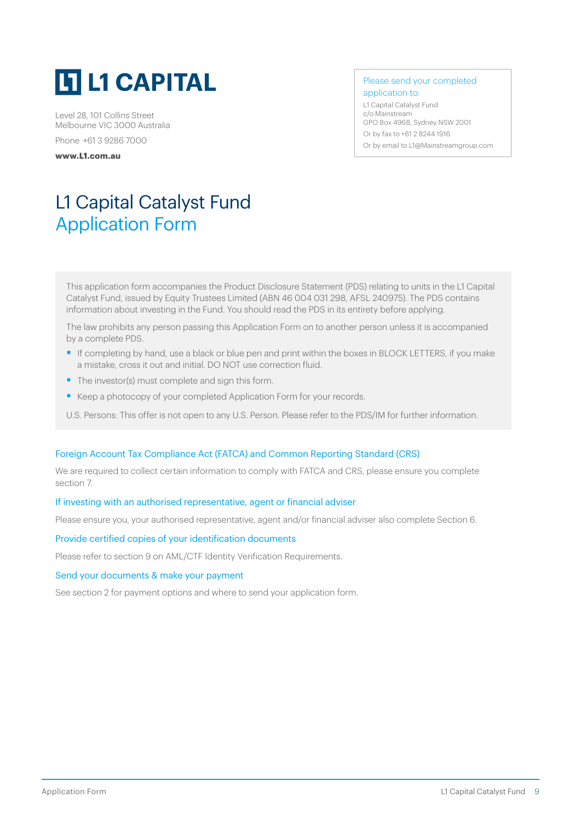<span id="page-8-0"></span>

Level 28, 101 Collins Street Melbourne VIC 3000 Australia Phone +61 3 9286 7000

**[www.L1.com.au](http://www.L1.com.au)**

Please send your completed application to:

L1 Capital Catalyst Fund c/o Mainstream GPO Box 4968, Sydney NSW 2001 Or by fax to +61 2 8244 1916 Or by email to [L1@Mainstreamgroup.com](mailto:L1%40Mainstreamgroup.com?subject=)

# L1 Capital Catalyst Fund Application Form

This application form accompanies the Product Disclosure Statement (PDS) relating to units in the L1 Capital Catalyst Fund, issued by Equity Trustees Limited (ABN 46 004 031 298, AFSL 240975). The PDS contains information about investing in the Fund. You should read the PDS in its entirety before applying.

The law prohibits any person passing this Application Form on to another person unless it is accompanied by a complete PDS.

- If completing by hand, use a black or blue pen and print within the boxes in BLOCK LETTERS, if you make a mistake, cross it out and initial. DO NOT use correction fluid.
- The investor(s) must complete and sign this form.
- Keep a photocopy of your completed Application Form for your records.
- U.S. Persons: This offer is not open to any U.S. Person. Please refer to the PDS/IM for further information.

# Foreign Account Tax Compliance Act (FATCA) and Common Reporting Standard (CRS)

We are required to collect certain information to comply with FATCA and CRS, please ensure you complete section 7.

## If investing with an authorised representative, agent or financial adviser

Please ensure you, your authorised representative, agent and/or financial adviser also complete Section 6.

#### Provide certified copies of your identification documents

Please refer to section 9 on AML/CTF Identity Verification Requirements.

#### Send your documents & make your payment

See section 2 for payment options and where to send your application form.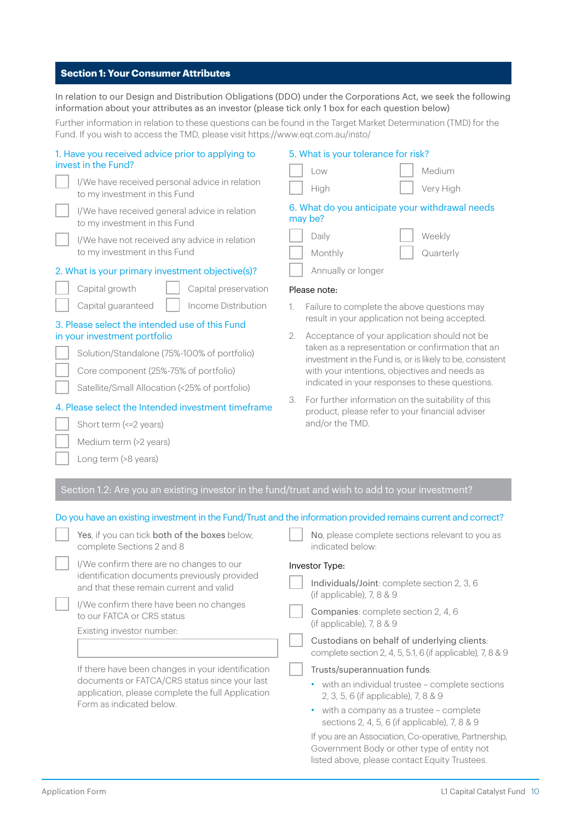# **Section 1: Your Consumer Attributes**

In relation to our Design and Distribution Obligations (DDO) under the Corporations Act, we seek the following information about your attributes as an investor (please tick only 1 box for each question below)

Further information in relation to these questions can be found in the Target Market Determination (TMD) for the Fund. If you wish to access the TMD, please visit<https://www.eqt.com.au/insto/>

| 1. Have you received advice prior to applying to<br>invest in the Fund?<br>I/We have received personal advice in relation<br>to my investment in this Fund<br>I/We have received general advice in relation<br>to my investment in this Fund<br>I/We have not received any advice in relation<br>to my investment in this Fund                                                                                                                                                                                                                  | 5. What is your tolerance for risk?<br>Medium<br>Low<br>Very High<br>High<br>6. What do you anticipate your withdrawal needs<br>may be?<br>Daily<br>Weekly<br>Monthly<br>Quarterly                                                                                                                                                                                                                                                                                                                                                |
|-------------------------------------------------------------------------------------------------------------------------------------------------------------------------------------------------------------------------------------------------------------------------------------------------------------------------------------------------------------------------------------------------------------------------------------------------------------------------------------------------------------------------------------------------|-----------------------------------------------------------------------------------------------------------------------------------------------------------------------------------------------------------------------------------------------------------------------------------------------------------------------------------------------------------------------------------------------------------------------------------------------------------------------------------------------------------------------------------|
| 2. What is your primary investment objective(s)?<br>Capital growth<br>Capital preservation                                                                                                                                                                                                                                                                                                                                                                                                                                                      | Annually or longer                                                                                                                                                                                                                                                                                                                                                                                                                                                                                                                |
| Capital guaranteed<br>Income Distribution<br>3. Please select the intended use of this Fund<br>in your investment portfolio<br>Solution/Standalone (75%-100% of portfolio)<br>Core component (25%-75% of portfolio)<br>Satellite/Small Allocation (<25% of portfolio)<br>4. Please select the Intended investment timeframe<br>Short term (<= 2 years)<br>Medium term (>2 years)                                                                                                                                                                | Please note:<br>Failure to complete the above questions may<br>1.<br>result in your application not being accepted.<br>Acceptance of your application should not be<br>2.<br>taken as a representation or confirmation that an<br>investment in the Fund is, or is likely to be, consistent<br>with your intentions, objectives and needs as<br>indicated in your responses to these questions.<br>For further information on the suitability of this<br>3.<br>product, please refer to your financial adviser<br>and/or the TMD. |
| Long term (>8 years)                                                                                                                                                                                                                                                                                                                                                                                                                                                                                                                            |                                                                                                                                                                                                                                                                                                                                                                                                                                                                                                                                   |
| Section 1.2: Are you an existing investor in the fund/trust and wish to add to your investment?                                                                                                                                                                                                                                                                                                                                                                                                                                                 |                                                                                                                                                                                                                                                                                                                                                                                                                                                                                                                                   |
| Do you have an existing investment in the Fund/Trust and the information provided remains current and correct?<br>Yes, if you can tick both of the boxes below,<br>complete Sections 2 and 8<br>I/We confirm there are no changes to our<br>identification documents previously provided<br>and that these remain current and valid<br>I/We confirm there have been no changes<br>to our FATCA or CRS status<br>Existing investor number:<br>If there have been changes in your identification<br>documents or FATCA/CRS status since your last | No, please complete sections relevant to you as<br>indicated below·<br>Investor Type:<br>Individuals/Joint: complete section 2, 3, 6<br>(if applicable), $7, 8 & 9$<br>Companies: complete section 2, 4, 6<br>(if applicable), 7, 8 & 9<br>Custodians on behalf of underlying clients:<br>complete section 2, 4, 5, 5.1, 6 (if applicable), 7, 8 & 9<br>Trusts/superannuation funds:<br>• with an individual trustee - complete sections                                                                                          |

listed above, please contact Equity Trustees.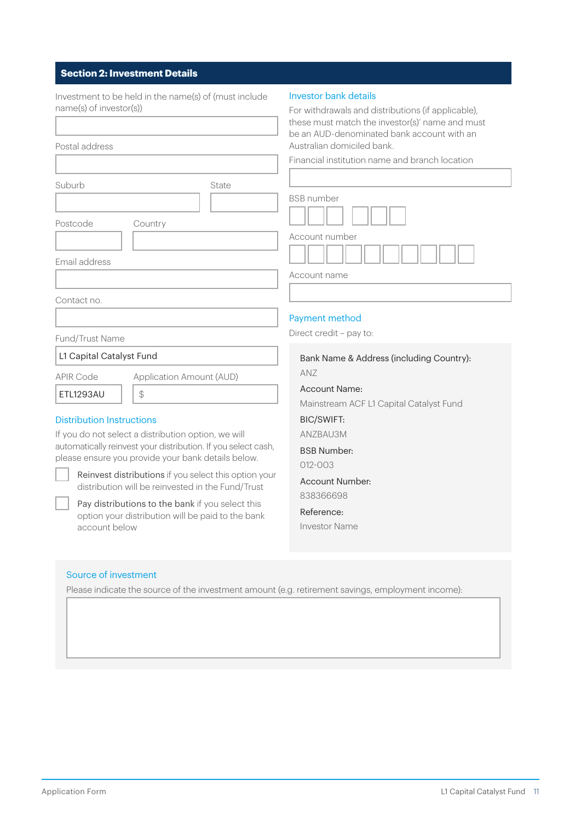# **Section 2: Investment Details**

| Investment to be held in the name(s) of (must include<br>name(s) of investor(s))<br>Postal address<br>Suburb<br>State<br>Postcode<br>Country                                                                                                                                                                                                                                                                                                                                                                                         | Investor bank details<br>For withdrawals and distributions (if applicable),<br>these must match the investor(s)' name and must<br>be an AUD-denominated bank account with an<br>Australian domiciled bank.<br>Financial institution name and branch location<br><b>BSB</b> number |
|--------------------------------------------------------------------------------------------------------------------------------------------------------------------------------------------------------------------------------------------------------------------------------------------------------------------------------------------------------------------------------------------------------------------------------------------------------------------------------------------------------------------------------------|-----------------------------------------------------------------------------------------------------------------------------------------------------------------------------------------------------------------------------------------------------------------------------------|
| Email address                                                                                                                                                                                                                                                                                                                                                                                                                                                                                                                        | Account number<br>Account name                                                                                                                                                                                                                                                    |
| Contact no.                                                                                                                                                                                                                                                                                                                                                                                                                                                                                                                          |                                                                                                                                                                                                                                                                                   |
| Fund/Trust Name<br>L1 Capital Catalyst Fund                                                                                                                                                                                                                                                                                                                                                                                                                                                                                          | Payment method<br>Direct credit - pay to:<br>Bank Name & Address (including Country):                                                                                                                                                                                             |
| <b>APIR Code</b><br>Application Amount (AUD)<br>ETL1293AU<br>$\frac{1}{2}$<br><b>Distribution Instructions</b><br>If you do not select a distribution option, we will<br>automatically reinvest your distribution. If you select cash,<br>please ensure you provide your bank details below.<br>Reinvest distributions if you select this option your<br>distribution will be reinvested in the Fund/Trust<br>Pay distributions to the bank if you select this<br>option your distribution will be paid to the bank<br>account below | ANZ<br><b>Account Name:</b><br>Mainstream ACF L1 Capital Catalyst Fund<br><b>BIC/SWIFT:</b><br>ANZBAU3M<br><b>BSB Number:</b><br>$012 - 003$<br><b>Account Number:</b><br>838366698<br>Reference:<br><b>Investor Name</b>                                                         |
| Source of investment<br>Please indicate the source of the investment amount (e.g. retirement savings, employment income):                                                                                                                                                                                                                                                                                                                                                                                                            |                                                                                                                                                                                                                                                                                   |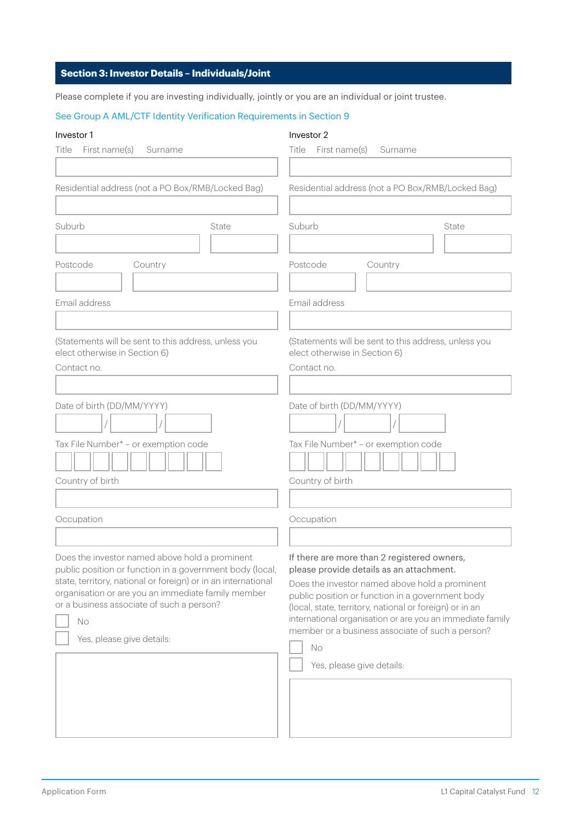# **Section 3: Investor Details – Individuals/Joint**

Please complete if you are investing individually, jointly or you are an individual or joint trustee.

# See Group A AML/CTF Identity Verification Requirements in Section 9

## Investor 1

# Investor 2

| First name(s)<br>Title<br>Surname                                                                                                                                                                                                                                                                                 | First name(s)<br>Title<br>Surname                                                                                                                                                                                                                                                                                                                                                                            |  |
|-------------------------------------------------------------------------------------------------------------------------------------------------------------------------------------------------------------------------------------------------------------------------------------------------------------------|--------------------------------------------------------------------------------------------------------------------------------------------------------------------------------------------------------------------------------------------------------------------------------------------------------------------------------------------------------------------------------------------------------------|--|
| Residential address (not a PO Box/RMB/Locked Bag)                                                                                                                                                                                                                                                                 | Residential address (not a PO Box/RMB/Locked Bag)                                                                                                                                                                                                                                                                                                                                                            |  |
| Suburb<br>State                                                                                                                                                                                                                                                                                                   | Suburb<br>State                                                                                                                                                                                                                                                                                                                                                                                              |  |
| Postcode<br>Country                                                                                                                                                                                                                                                                                               | Postcode<br>Country                                                                                                                                                                                                                                                                                                                                                                                          |  |
| Email address                                                                                                                                                                                                                                                                                                     | Email address                                                                                                                                                                                                                                                                                                                                                                                                |  |
| (Statements will be sent to this address, unless you<br>elect otherwise in Section 6)<br>Contact no.                                                                                                                                                                                                              | (Statements will be sent to this address, unless you<br>elect otherwise in Section 6)<br>Contact no.                                                                                                                                                                                                                                                                                                         |  |
| Date of birth (DD/MM/YYYY)                                                                                                                                                                                                                                                                                        | Date of birth (DD/MM/YYYY)                                                                                                                                                                                                                                                                                                                                                                                   |  |
| Tax File Number* - or exemption code<br>Country of birth                                                                                                                                                                                                                                                          | Tax File Number* - or exemption code<br>Country of birth                                                                                                                                                                                                                                                                                                                                                     |  |
|                                                                                                                                                                                                                                                                                                                   |                                                                                                                                                                                                                                                                                                                                                                                                              |  |
| Occupation                                                                                                                                                                                                                                                                                                        | Occupation                                                                                                                                                                                                                                                                                                                                                                                                   |  |
| Does the investor named above hold a prominent<br>public position or function in a government body (local,<br>state, territory, national or foreign) or in an international<br>organisation or are you an immediate family member<br>or a business associate of such a person?<br>No<br>Yes, please give details: | If there are more than 2 registered owners,<br>please provide details as an attachment.<br>Does the investor named above hold a prominent<br>public position or function in a government body<br>(local, state, territory, national or foreign) or in an<br>international organisation or are you an immediate family<br>member or a business associate of such a person?<br>No<br>Yes, please give details: |  |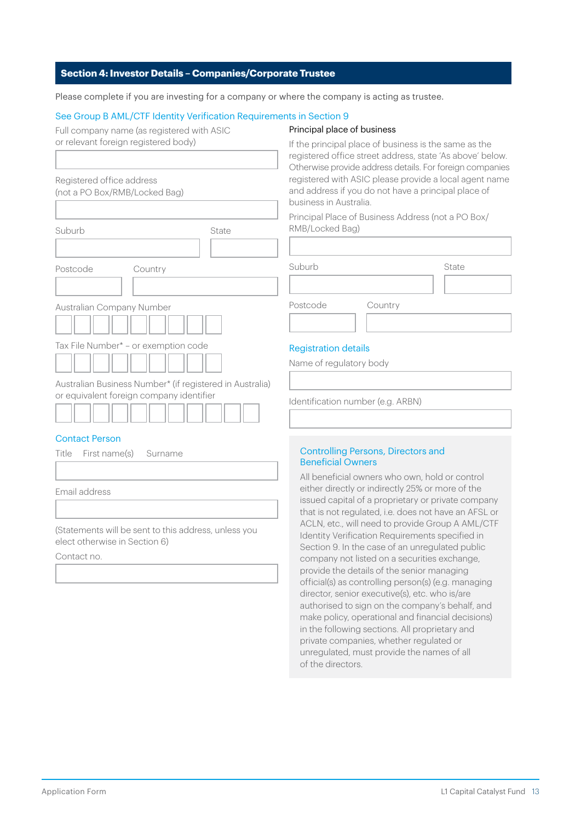# **Section 4: Investor Details – Companies/Corporate Trustee**

Please complete if you are investing for a company or where the company is acting as trustee.

#### See Group B AML/CTF Identity Verification Requirements in Section 9

Full company name (as registered with ASIC or relevant foreign registered body)

#### Principal place of business

| Registered office address<br>(not a PO Box/RMB/Locked Bag)                                           |       |
|------------------------------------------------------------------------------------------------------|-------|
|                                                                                                      |       |
| Suburb                                                                                               | State |
|                                                                                                      |       |
| Postcode<br>Country                                                                                  |       |
|                                                                                                      |       |
| Australian Company Number                                                                            |       |
| Tax File Number* - or exemption code                                                                 |       |
|                                                                                                      |       |
| Australian Business Number* (if registered in Australia)<br>or equivalent foreign company identifier |       |

#### Contact Person

| Title First name(s) Surname |  |
|-----------------------------|--|
|                             |  |
| Email address               |  |
|                             |  |

(Statements will be sent to this address, unless you elect otherwise in Section 6)

Contact no.

If the principal place of business is the same as the registered office street address, state 'As above' below. Otherwise provide address details. For foreign companies registered with ASIC please provide a local agent name and address if you do not have a principal place of business in Australia.

Principal Place of Business Address (not a PO Box/ RMB/Locked Bag)

| Suburb   |         | State |
|----------|---------|-------|
|          |         |       |
| Postcode | Country |       |
|          |         |       |

# Registration details

Name of regulatory body

Identification number (e.g. ARBN)

## Controlling Persons, Directors and Beneficial Owners

All beneficial owners who own, hold or control either directly or indirectly 25% or more of the issued capital of a proprietary or private company that is not regulated, i.e. does not have an AFSL or ACLN, etc., will need to provide Group A AML/CTF Identity Verification Requirements specified in Section 9. In the case of an unregulated public company not listed on a securities exchange, provide the details of the senior managing official(s) as controlling person(s) (e.g. managing director, senior executive(s), etc. who is/are authorised to sign on the company's behalf, and make policy, operational and financial decisions) in the following sections. All proprietary and private companies, whether regulated or unregulated, must provide the names of all of the directors.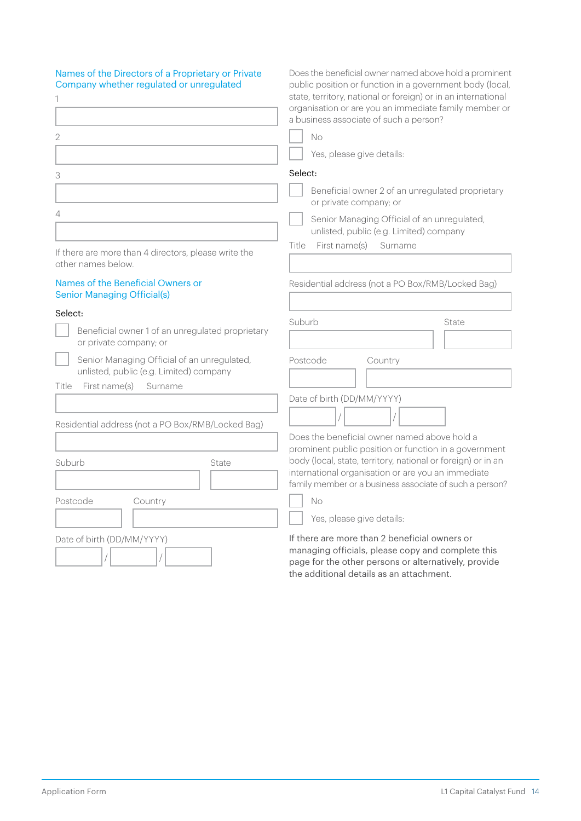| Names of the Directors of a Proprietary or Private<br>Company whether regulated or unregulated | Does the beneficial owner named above hold a prominent<br>public position or function in a government body (local,<br>state, territory, national or foreign) or in an international<br>organisation or are you an immediate family member or<br>a business associate of such a person? |  |
|------------------------------------------------------------------------------------------------|----------------------------------------------------------------------------------------------------------------------------------------------------------------------------------------------------------------------------------------------------------------------------------------|--|
| 2                                                                                              | No                                                                                                                                                                                                                                                                                     |  |
|                                                                                                | Yes, please give details:                                                                                                                                                                                                                                                              |  |
| 3                                                                                              | Select:                                                                                                                                                                                                                                                                                |  |
|                                                                                                | Beneficial owner 2 of an unregulated proprietary<br>or private company; or                                                                                                                                                                                                             |  |
| 4                                                                                              | Senior Managing Official of an unregulated,<br>unlisted, public (e.g. Limited) company                                                                                                                                                                                                 |  |
| If there are more than 4 directors, please write the<br>other names below.                     | First name(s)<br>Title<br>Surname                                                                                                                                                                                                                                                      |  |
| Names of the Beneficial Owners or<br><b>Senior Managing Official(s)</b>                        | Residential address (not a PO Box/RMB/Locked Bag)                                                                                                                                                                                                                                      |  |
| Select:<br>Beneficial owner 1 of an unregulated proprietary<br>or private company; or          | Suburb<br>State                                                                                                                                                                                                                                                                        |  |
| Senior Managing Official of an unregulated,<br>unlisted, public (e.g. Limited) company         | Postcode<br>Country                                                                                                                                                                                                                                                                    |  |
| First name(s)<br>Title<br>Surname                                                              | Date of birth (DD/MM/YYYY)                                                                                                                                                                                                                                                             |  |
| Residential address (not a PO Box/RMB/Locked Bag)                                              |                                                                                                                                                                                                                                                                                        |  |
|                                                                                                | Does the beneficial owner named above hold a                                                                                                                                                                                                                                           |  |
| Suburb<br>State                                                                                | prominent public position or function in a government<br>body (local, state, territory, national or foreign) or in an<br>international organisation or are you an immediate<br>family member or a business associate of such a person?                                                 |  |
| Postcode<br>Country                                                                            | No                                                                                                                                                                                                                                                                                     |  |
|                                                                                                | Yes, please give details:                                                                                                                                                                                                                                                              |  |
| Date of birth (DD/MM/YYYY)                                                                     | If there are more than 2 beneficial owners or<br>managing officials, please copy and complete this<br>page for the other persons or alternatively, provide                                                                                                                             |  |

the additional details as an attachment.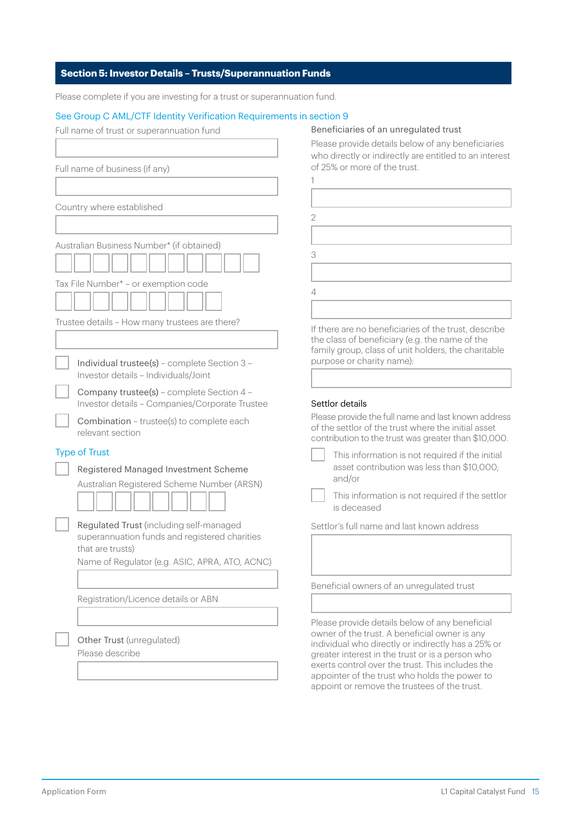# **Section 5: Investor Details – Trusts/Superannuation Funds**

Please complete if you are investing for a trust or superannuation fund.

# See Group C AML/CTF Identity Verification Requirements in section 9

| Full name of trust or superannuation fund                                                                  | Beneficiaries of an unregulated trust                                                                                                                                                                                                                                                                        |
|------------------------------------------------------------------------------------------------------------|--------------------------------------------------------------------------------------------------------------------------------------------------------------------------------------------------------------------------------------------------------------------------------------------------------------|
|                                                                                                            | Please provide details below of any beneficiaries<br>who directly or indirectly are entitled to an interest<br>of 25% or more of the trust.                                                                                                                                                                  |
| Full name of business (if any)                                                                             |                                                                                                                                                                                                                                                                                                              |
|                                                                                                            |                                                                                                                                                                                                                                                                                                              |
| Country where established                                                                                  | $\overline{2}$                                                                                                                                                                                                                                                                                               |
|                                                                                                            |                                                                                                                                                                                                                                                                                                              |
| Australian Business Number* (if obtained)                                                                  |                                                                                                                                                                                                                                                                                                              |
|                                                                                                            | 3                                                                                                                                                                                                                                                                                                            |
| Tax File Number* - or exemption code                                                                       | 4                                                                                                                                                                                                                                                                                                            |
|                                                                                                            |                                                                                                                                                                                                                                                                                                              |
| Trustee details - How many trustees are there?<br>Individual trustee(s) - complete Section 3 -             | If there are no beneficiaries of the trust, describe<br>the class of beneficiary (e.g. the name of the<br>family group, class of unit holders, the charitable<br>purpose or charity name):                                                                                                                   |
| Investor details - Individuals/Joint                                                                       |                                                                                                                                                                                                                                                                                                              |
| Company trustee(s) - complete Section 4 -<br>Investor details - Companies/Corporate Trustee                | Settlor details                                                                                                                                                                                                                                                                                              |
| Combination - trustee(s) to complete each<br>relevant section                                              | Please provide the full name and last known address<br>of the settlor of the trust where the initial asset<br>contribution to the trust was greater than \$10,000.                                                                                                                                           |
| <b>Type of Trust</b><br>Registered Managed Investment Scheme<br>Australian Registered Scheme Number (ARSN) | This information is not required if the initial<br>asset contribution was less than \$10,000;<br>and/or                                                                                                                                                                                                      |
|                                                                                                            | This information is not required if the settlor<br>is deceased                                                                                                                                                                                                                                               |
| Regulated Trust (including self-managed<br>superannuation funds and registered charities                   | Settlor's full name and last known address                                                                                                                                                                                                                                                                   |
| that are trusts)                                                                                           |                                                                                                                                                                                                                                                                                                              |
| Name of Regulator (e.g. ASIC, APRA, ATO, ACNC)                                                             |                                                                                                                                                                                                                                                                                                              |
|                                                                                                            | Beneficial owners of an unregulated trust                                                                                                                                                                                                                                                                    |
| Registration/Licence details or ABN                                                                        |                                                                                                                                                                                                                                                                                                              |
|                                                                                                            | Please provide details below of any beneficial                                                                                                                                                                                                                                                               |
| Other Trust (unregulated)<br>Please describe                                                               | owner of the trust. A beneficial owner is any<br>individual who directly or indirectly has a 25% or<br>greater interest in the trust or is a person who<br>exerts control over the trust. This includes the<br>appointer of the trust who holds the power to<br>appoint or remove the trustees of the trust. |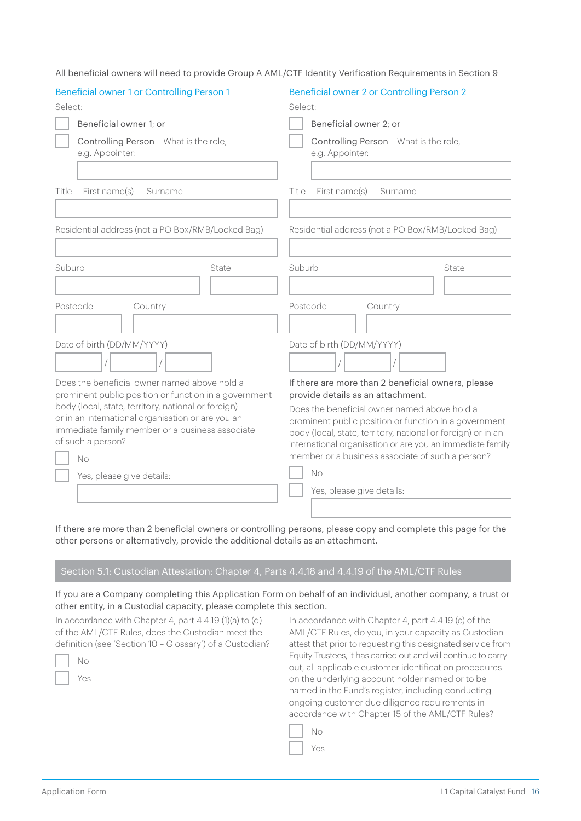| <b>Beneficial owner 1 or Controlling Person 1</b>                                                     | Beneficial owner 2 or Controlling Person 2                                                                                |  |
|-------------------------------------------------------------------------------------------------------|---------------------------------------------------------------------------------------------------------------------------|--|
| Select:                                                                                               | Select:                                                                                                                   |  |
| Beneficial owner 1: or                                                                                | Beneficial owner 2; or                                                                                                    |  |
| Controlling Person - What is the role,<br>e.g. Appointer:                                             | Controlling Person - What is the role,<br>e.g. Appointer:                                                                 |  |
|                                                                                                       |                                                                                                                           |  |
| First name(s)<br>Title<br>Surname                                                                     | First name(s)<br>Title<br>Surname                                                                                         |  |
|                                                                                                       |                                                                                                                           |  |
| Residential address (not a PO Box/RMB/Locked Bag)                                                     | Residential address (not a PO Box/RMB/Locked Bag)                                                                         |  |
|                                                                                                       |                                                                                                                           |  |
| Suburb<br>State                                                                                       | Suburb<br>State                                                                                                           |  |
|                                                                                                       |                                                                                                                           |  |
| Postcode<br>Country                                                                                   | Postcode<br>Country                                                                                                       |  |
|                                                                                                       |                                                                                                                           |  |
| Date of birth (DD/MM/YYYY)                                                                            | Date of birth (DD/MM/YYYY)                                                                                                |  |
|                                                                                                       |                                                                                                                           |  |
| Does the beneficial owner named above hold a<br>prominent public position or function in a government | If there are more than 2 beneficial owners, please<br>provide details as an attachment.                                   |  |
| body (local, state, territory, national or foreign)                                                   | Does the beneficial owner named above hold a                                                                              |  |
| or in an international organisation or are you an                                                     | prominent public position or function in a government                                                                     |  |
| immediate family member or a business associate<br>of such a person?                                  | body (local, state, territory, national or foreign) or in an<br>international organisation or are you an immediate family |  |
| No                                                                                                    | member or a business associate of such a person?                                                                          |  |
| Yes, please give details:                                                                             | <b>No</b>                                                                                                                 |  |
|                                                                                                       | Yes, please give details:                                                                                                 |  |
|                                                                                                       |                                                                                                                           |  |

All beneficial owners will need to provide Group A AML/CTF Identity Verification Requirements in Section 9

If there are more than 2 beneficial owners or controlling persons, please copy and complete this page for the other persons or alternatively, provide the additional details as an attachment.

# Section 5.1: Custodian Attestation: Chapter 4, Parts 4.4.18 and 4.4.19 of the AML/CTF Rules

If you are a Company completing this Application Form on behalf of an individual, another company, a trust or other entity, in a Custodial capacity, please complete this section.

In accordance with Chapter 4, part 4.4.19 (1)(a) to (d) of the AML/CTF Rules, does the Custodian meet the definition (see 'Section 10 – Glossary') of a Custodian?

In accordance with Chapter 4, part 4.4.19 (e) of the AML/CTF Rules, do you, in your capacity as Custodian attest that prior to requesting this designated service from Equity Trustees, it has carried out and will continue to carry out, all applicable customer identification procedures on the underlying account holder named or to be named in the Fund's register, including conducting ongoing customer due diligence requirements in accordance with Chapter 15 of the AML/CTF Rules?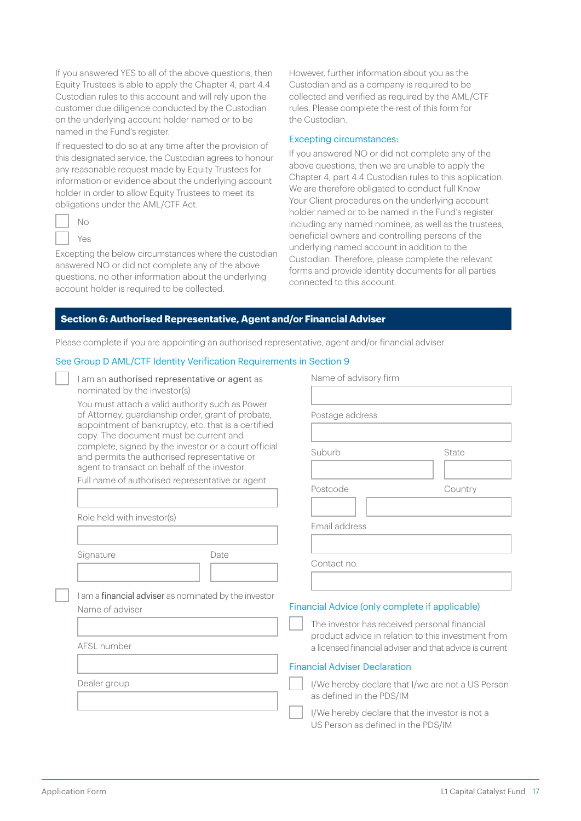If you answered YES to all of the above questions, then Equity Trustees is able to apply the Chapter 4, part 4.4 Custodian rules to this account and will rely upon the customer due diligence conducted by the Custodian on the underlying account holder named or to be named in the Fund's register.

If requested to do so at any time after the provision of this designated service, the Custodian agrees to honour any reasonable request made by Equity Trustees for information or evidence about the underlying account holder in order to allow Equity Trustees to meet its obligations under the AML/CTF Act.

| ī |
|---|
| × |

Excepting the below circumstances where the custodian answered NO or did not complete any of the above questions, no other information about the underlying account holder is required to be collected.

However, further information about you as the Custodian and as a company is required to be collected and verified as required by the AML/CTF rules. Please complete the rest of this form for the Custodian.

#### Excepting circumstances:

If you answered NO or did not complete any of the above questions, then we are unable to apply the Chapter 4, part 4.4 Custodian rules to this application. We are therefore obligated to conduct full Know Your Client procedures on the underlying account holder named or to be named in the Fund's register including any named nominee, as well as the trustees, beneficial owners and controlling persons of the underlying named account in addition to the Custodian. Therefore, please complete the relevant forms and provide identity documents for all parties connected to this account.

## **Section 6: Authorised Representative, Agent and/or Financial Adviser**

Please complete if you are appointing an authorised representative, agent and/or financial adviser.

#### See Group D AML/CTF Identity Verification Requirements in Section 9

| I am an authorised representative or agent as |  |
|-----------------------------------------------|--|
| nominated by the investor(s)                  |  |

You must attach a valid authority such as Power of Attorney, guardianship order, grant of probate, appointment of bankruptcy, etc. that is a certified copy. The document must be current and complete, signed by the investor or a court official and permits the authorised representative or agent to transact on behalf of the investor.

Full name of authorised representative or agent

Role held with investor(s)

Signature Date

I am a financial adviser as nominated by the investor Name of adviser

AFSL number

Dealer group

| Postage address |                                                |
|-----------------|------------------------------------------------|
| Suburb          | State                                          |
|                 |                                                |
| Postcode        | Country                                        |
| Email address   |                                                |
| Contact no.     |                                                |
|                 | Financial Advice (only complete if applicable) |

## Financial Adviser Declaration

I/We hereby declare that I/we are not a US Person as defined in the PDS/IM

I/We hereby declare that the investor is not a US Person as defined in the PDS/IM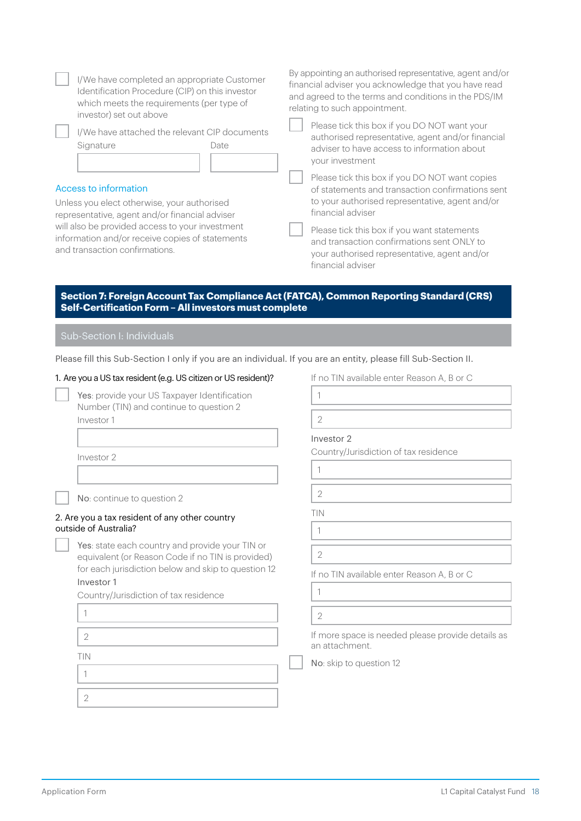| I/We have completed an appropriate Customer<br>Identification Procedure (CIP) on this investor<br>which meets the requirements (per type of<br>investor) set out above<br>I/We have attached the relevant CIP documents<br>Signature<br>Date<br>Access to information<br>Unless you elect otherwise, your authorised<br>representative, agent and/or financial adviser<br>will also be provided access to your investment<br>information and/or receive copies of statements<br>and transaction confirmations. | By appointing an authorised representative, agent and/or<br>financial adviser you acknowledge that you have read<br>and agreed to the terms and conditions in the PDS/IM<br>relating to such appointment.<br>Please tick this box if you DO NOT want your<br>authorised representative, agent and/or financial<br>adviser to have access to information about<br>your investment<br>Please tick this box if you DO NOT want copies<br>of statements and transaction confirmations sent<br>to your authorised representative, agent and/or<br>financial adviser<br>Please tick this box if you want statements<br>and transaction confirmations sent ONLY to<br>your authorised representative, agent and/or<br>financial adviser |
|----------------------------------------------------------------------------------------------------------------------------------------------------------------------------------------------------------------------------------------------------------------------------------------------------------------------------------------------------------------------------------------------------------------------------------------------------------------------------------------------------------------|----------------------------------------------------------------------------------------------------------------------------------------------------------------------------------------------------------------------------------------------------------------------------------------------------------------------------------------------------------------------------------------------------------------------------------------------------------------------------------------------------------------------------------------------------------------------------------------------------------------------------------------------------------------------------------------------------------------------------------|
| Section 7: Foreign Account Tax Compliance Act (FATCA), Common Reporting Standard (CRS)<br>Self-Certification Form - All investors must complete<br>Sub-Section I: Individuals                                                                                                                                                                                                                                                                                                                                  |                                                                                                                                                                                                                                                                                                                                                                                                                                                                                                                                                                                                                                                                                                                                  |
| Please fill this Sub-Section I only if you are an individual. If you are an entity, please fill Sub-Section II.                                                                                                                                                                                                                                                                                                                                                                                                |                                                                                                                                                                                                                                                                                                                                                                                                                                                                                                                                                                                                                                                                                                                                  |
| 1. Are you a US tax resident (e.g. US citizen or US resident)?                                                                                                                                                                                                                                                                                                                                                                                                                                                 | If no TIN available enter Reason A, B or C                                                                                                                                                                                                                                                                                                                                                                                                                                                                                                                                                                                                                                                                                       |
| Yes: provide your US Taxpayer Identification                                                                                                                                                                                                                                                                                                                                                                                                                                                                   | 1                                                                                                                                                                                                                                                                                                                                                                                                                                                                                                                                                                                                                                                                                                                                |
| Number (TIN) and continue to question 2                                                                                                                                                                                                                                                                                                                                                                                                                                                                        |                                                                                                                                                                                                                                                                                                                                                                                                                                                                                                                                                                                                                                                                                                                                  |
| Investor 1                                                                                                                                                                                                                                                                                                                                                                                                                                                                                                     | $\overline{2}$                                                                                                                                                                                                                                                                                                                                                                                                                                                                                                                                                                                                                                                                                                                   |
|                                                                                                                                                                                                                                                                                                                                                                                                                                                                                                                | Investor 2                                                                                                                                                                                                                                                                                                                                                                                                                                                                                                                                                                                                                                                                                                                       |
| Investor 2                                                                                                                                                                                                                                                                                                                                                                                                                                                                                                     | Country/Jurisdiction of tax residence                                                                                                                                                                                                                                                                                                                                                                                                                                                                                                                                                                                                                                                                                            |
|                                                                                                                                                                                                                                                                                                                                                                                                                                                                                                                | $\mathbf{1}$                                                                                                                                                                                                                                                                                                                                                                                                                                                                                                                                                                                                                                                                                                                     |
| No: continue to question 2                                                                                                                                                                                                                                                                                                                                                                                                                                                                                     | $\overline{2}$                                                                                                                                                                                                                                                                                                                                                                                                                                                                                                                                                                                                                                                                                                                   |
| 2. Are you a tax resident of any other country                                                                                                                                                                                                                                                                                                                                                                                                                                                                 | TIN                                                                                                                                                                                                                                                                                                                                                                                                                                                                                                                                                                                                                                                                                                                              |
| outside of Australia?                                                                                                                                                                                                                                                                                                                                                                                                                                                                                          | 1                                                                                                                                                                                                                                                                                                                                                                                                                                                                                                                                                                                                                                                                                                                                |
| Yes: state each country and provide your TIN or<br>equivalent (or Reason Code if no TIN is provided)                                                                                                                                                                                                                                                                                                                                                                                                           | $\overline{2}$                                                                                                                                                                                                                                                                                                                                                                                                                                                                                                                                                                                                                                                                                                                   |
| for each jurisdiction below and skip to question 12                                                                                                                                                                                                                                                                                                                                                                                                                                                            | If no TIN available enter Reason A, B or C                                                                                                                                                                                                                                                                                                                                                                                                                                                                                                                                                                                                                                                                                       |
| Investor 1                                                                                                                                                                                                                                                                                                                                                                                                                                                                                                     | $\mathbf{1}$                                                                                                                                                                                                                                                                                                                                                                                                                                                                                                                                                                                                                                                                                                                     |
| Country/Jurisdiction of tax residence                                                                                                                                                                                                                                                                                                                                                                                                                                                                          |                                                                                                                                                                                                                                                                                                                                                                                                                                                                                                                                                                                                                                                                                                                                  |
| 1                                                                                                                                                                                                                                                                                                                                                                                                                                                                                                              | $\overline{2}$                                                                                                                                                                                                                                                                                                                                                                                                                                                                                                                                                                                                                                                                                                                   |
| 2                                                                                                                                                                                                                                                                                                                                                                                                                                                                                                              | If more space is needed please provide details as<br>an attachment.                                                                                                                                                                                                                                                                                                                                                                                                                                                                                                                                                                                                                                                              |
| TIN                                                                                                                                                                                                                                                                                                                                                                                                                                                                                                            | No: skip to question 12                                                                                                                                                                                                                                                                                                                                                                                                                                                                                                                                                                                                                                                                                                          |
| 1                                                                                                                                                                                                                                                                                                                                                                                                                                                                                                              |                                                                                                                                                                                                                                                                                                                                                                                                                                                                                                                                                                                                                                                                                                                                  |
| $\overline{2}$                                                                                                                                                                                                                                                                                                                                                                                                                                                                                                 |                                                                                                                                                                                                                                                                                                                                                                                                                                                                                                                                                                                                                                                                                                                                  |
|                                                                                                                                                                                                                                                                                                                                                                                                                                                                                                                |                                                                                                                                                                                                                                                                                                                                                                                                                                                                                                                                                                                                                                                                                                                                  |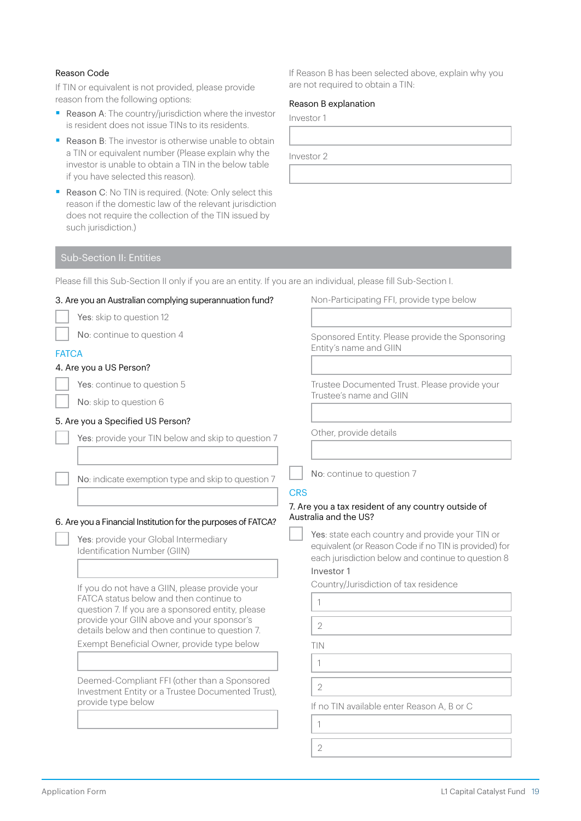# Reason Code

If TIN or equivalent is not provided, please provide reason from the following options:

- Reason A: The country/jurisdiction where the investor is resident does not issue TINs to its residents.
- Reason B: The investor is otherwise unable to obtain a TIN or equivalent number (Please explain why the investor is unable to obtain a TIN in the below table if you have selected this reason).
- Reason C: No TIN is required. (Note: Only select this reason if the domestic law of the relevant jurisdiction does not require the collection of the TIN issued by such jurisdiction.)

If Reason B has been selected above, explain why you are not required to obtain a TIN:

## Reason B explanation

Investor 1

Investor 2

# Sub-Section II: Entities

Please fill this Sub-Section II only if you are an entity. If you are an individual, please fill Sub-Section I.

| 3. Are you an Australian complying superannuation fund?                                                                                                                                                                                        | Non-Participating FFI, provide type below                                                                                                                                                                                                                    |
|------------------------------------------------------------------------------------------------------------------------------------------------------------------------------------------------------------------------------------------------|--------------------------------------------------------------------------------------------------------------------------------------------------------------------------------------------------------------------------------------------------------------|
| Yes: skip to question 12                                                                                                                                                                                                                       |                                                                                                                                                                                                                                                              |
| No: continue to question 4                                                                                                                                                                                                                     | Sponsored Entity. Please provide the Sponsoring<br>Entity's name and GIIN                                                                                                                                                                                    |
| <b>FATCA</b>                                                                                                                                                                                                                                   |                                                                                                                                                                                                                                                              |
| 4. Are you a US Person?                                                                                                                                                                                                                        |                                                                                                                                                                                                                                                              |
| Yes: continue to question 5                                                                                                                                                                                                                    | Trustee Documented Trust. Please provide your                                                                                                                                                                                                                |
| No: skip to question 6                                                                                                                                                                                                                         | Trustee's name and GIIN                                                                                                                                                                                                                                      |
| 5. Are you a Specified US Person?                                                                                                                                                                                                              |                                                                                                                                                                                                                                                              |
| Yes: provide your TIN below and skip to question 7                                                                                                                                                                                             | Other, provide details                                                                                                                                                                                                                                       |
|                                                                                                                                                                                                                                                |                                                                                                                                                                                                                                                              |
| No: indicate exemption type and skip to question 7                                                                                                                                                                                             | No: continue to question 7<br><b>CRS</b>                                                                                                                                                                                                                     |
| 6. Are you a Financial Institution for the purposes of FATCA?<br>Yes: provide your Global Intermediary<br>Identification Number (GIIN)                                                                                                         | 7. Are you a tax resident of any country outside of<br>Australia and the US?<br>Yes: state each country and provide your TIN or<br>equivalent (or Reason Code if no TIN is provided) for<br>each jurisdiction below and continue to question 8<br>Investor 1 |
| If you do not have a GIIN, please provide your<br>FATCA status below and then continue to<br>question 7. If you are a sponsored entity, please<br>provide your GIIN above and your sponsor's<br>details below and then continue to question 7. | Country/Jurisdiction of tax residence<br>1<br>$\overline{2}$                                                                                                                                                                                                 |
| Exempt Beneficial Owner, provide type below                                                                                                                                                                                                    | TIN                                                                                                                                                                                                                                                          |
|                                                                                                                                                                                                                                                | 1                                                                                                                                                                                                                                                            |
|                                                                                                                                                                                                                                                |                                                                                                                                                                                                                                                              |
| Deemed-Compliant FFI (other than a Sponsored<br>Investment Entity or a Trustee Documented Trust),<br>provide type below                                                                                                                        | $\overline{2}$<br>If no TIN available enter Reason A, B or C                                                                                                                                                                                                 |
|                                                                                                                                                                                                                                                | 1                                                                                                                                                                                                                                                            |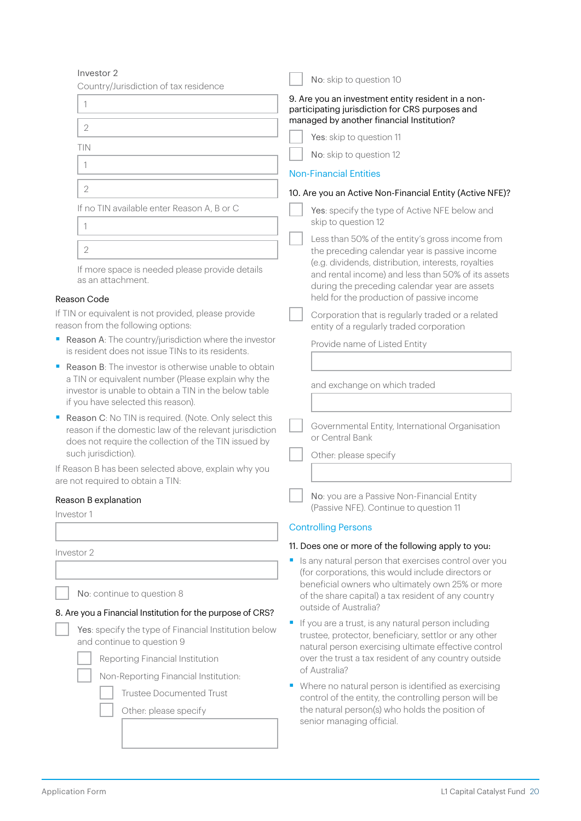| Investor 2                                                                                                                                                                                                            | No: skip to question 10                                                                                                                                                                                 |  |  |
|-----------------------------------------------------------------------------------------------------------------------------------------------------------------------------------------------------------------------|---------------------------------------------------------------------------------------------------------------------------------------------------------------------------------------------------------|--|--|
| Country/Jurisdiction of tax residence<br>1                                                                                                                                                                            | 9. Are you an investment entity resident in a non-<br>participating jurisdiction for CRS purposes and                                                                                                   |  |  |
| $\overline{2}$                                                                                                                                                                                                        | managed by another financial Institution?                                                                                                                                                               |  |  |
| TIN                                                                                                                                                                                                                   | Yes: skip to question 11                                                                                                                                                                                |  |  |
| 1                                                                                                                                                                                                                     | No: skip to question 12                                                                                                                                                                                 |  |  |
|                                                                                                                                                                                                                       | <b>Non-Financial Entities</b>                                                                                                                                                                           |  |  |
| $\overline{2}$                                                                                                                                                                                                        | 10. Are you an Active Non-Financial Entity (Active NFE)?                                                                                                                                                |  |  |
| If no TIN available enter Reason A, B or C<br>1                                                                                                                                                                       | Yes: specify the type of Active NFE below and<br>skip to question 12                                                                                                                                    |  |  |
| $\overline{2}$                                                                                                                                                                                                        | Less than 50% of the entity's gross income from<br>the preceding calendar year is passive income                                                                                                        |  |  |
| If more space is needed please provide details<br>as an attachment.                                                                                                                                                   | (e.g. dividends, distribution, interests, royalties<br>and rental income) and less than 50% of its assets<br>during the preceding calendar year are assets<br>held for the production of passive income |  |  |
| Reason Code<br>If TIN or equivalent is not provided, please provide<br>reason from the following options:                                                                                                             | Corporation that is regularly traded or a related<br>entity of a regularly traded corporation                                                                                                           |  |  |
| Reason A: The country/jurisdiction where the investor<br>is resident does not issue TINs to its residents.                                                                                                            | Provide name of Listed Entity                                                                                                                                                                           |  |  |
| <b>Reason B:</b> The investor is otherwise unable to obtain<br>п<br>a TIN or equivalent number (Please explain why the<br>investor is unable to obtain a TIN in the below table<br>if you have selected this reason). | and exchange on which traded                                                                                                                                                                            |  |  |
| Reason C: No TIN is required. (Note. Only select this<br>reason if the domestic law of the relevant jurisdiction<br>does not require the collection of the TIN issued by<br>such jurisdiction).                       | Governmental Entity, International Organisation<br>or Central Bank<br>Other: please specify                                                                                                             |  |  |
| If Reason B has been selected above, explain why you<br>are not required to obtain a TIN:                                                                                                                             |                                                                                                                                                                                                         |  |  |
| Reason B explanation<br>Investor 1                                                                                                                                                                                    | No: you are a Passive Non-Financial Entity<br>(Passive NFE). Continue to question 11                                                                                                                    |  |  |
|                                                                                                                                                                                                                       | <b>Controlling Persons</b>                                                                                                                                                                              |  |  |
|                                                                                                                                                                                                                       | 11. Does one or more of the following apply to you:                                                                                                                                                     |  |  |
| Investor 2                                                                                                                                                                                                            | Is any natural person that exercises control over you<br>(for corporations, this would include directors or                                                                                             |  |  |
| No: continue to question 8                                                                                                                                                                                            | beneficial owners who ultimately own 25% or more<br>of the share capital) a tax resident of any country<br>outside of Australia?                                                                        |  |  |
| 8. Are you a Financial Institution for the purpose of CRS?                                                                                                                                                            | If you are a trust, is any natural person including<br>F                                                                                                                                                |  |  |
| Yes: specify the type of Financial Institution below<br>and continue to question 9                                                                                                                                    | trustee, protector, beneficiary, settlor or any other<br>natural person exercising ultimate effective control<br>over the trust a tax resident of any country outside<br>of Australia?                  |  |  |
| Reporting Financial Institution                                                                                                                                                                                       |                                                                                                                                                                                                         |  |  |
| Non-Reporting Financial Institution:                                                                                                                                                                                  | Where no natural person is identified as exercising<br>ш                                                                                                                                                |  |  |
| <b>Trustee Documented Trust</b>                                                                                                                                                                                       | control of the entity, the controlling person will be                                                                                                                                                   |  |  |
| Other: please specify                                                                                                                                                                                                 | the natural person(s) who holds the position of                                                                                                                                                         |  |  |

senior managing official.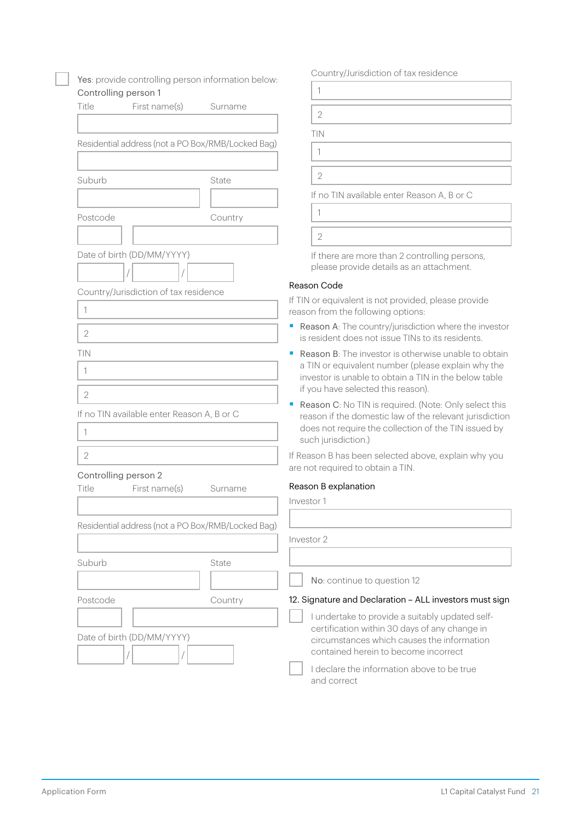| Yes: provide controlling person information below:                |         | Country/Jurisdiction of tax residence                                                                                                                                                                                 |
|-------------------------------------------------------------------|---------|-----------------------------------------------------------------------------------------------------------------------------------------------------------------------------------------------------------------------|
| Controlling person 1                                              |         | 1                                                                                                                                                                                                                     |
| Title<br>First name(s)                                            | Surname | $\overline{2}$                                                                                                                                                                                                        |
|                                                                   |         |                                                                                                                                                                                                                       |
| Residential address (not a PO Box/RMB/Locked Bag)                 |         | TIN                                                                                                                                                                                                                   |
|                                                                   |         | $\mathbf{1}$                                                                                                                                                                                                          |
| Suburb                                                            | State   | $\mathbf{2}$                                                                                                                                                                                                          |
|                                                                   |         | If no TIN available enter Reason A, B or C                                                                                                                                                                            |
| Postcode                                                          | Country | 1                                                                                                                                                                                                                     |
|                                                                   |         | $\overline{2}$                                                                                                                                                                                                        |
| Date of birth (DD/MM/YYYY)                                        |         | If there are more than 2 controlling persons,<br>please provide details as an attachment.                                                                                                                             |
| Country/Jurisdiction of tax residence                             |         | Reason Code                                                                                                                                                                                                           |
| 1                                                                 |         | If TIN or equivalent is not provided, please provide<br>reason from the following options:                                                                                                                            |
| $\overline{2}$                                                    |         | Reason A: The country/jurisdiction where the investor<br>is resident does not issue TINs to its residents.                                                                                                            |
| TIN<br>1                                                          |         | <b>Reason B:</b> The investor is otherwise unable to obtain<br>ш<br>a TIN or equivalent number (please explain why the<br>investor is unable to obtain a TIN in the below table<br>if you have selected this reason). |
| $\overline{2}$<br>If no TIN available enter Reason A, B or C<br>1 |         | Reason C: No TIN is required. (Note: Only select this<br>reason if the domestic law of the relevant jurisdiction<br>does not require the collection of the TIN issued by<br>such jurisdiction.)                       |
| $\overline{2}$                                                    |         | If Reason B has been selected above, explain why you<br>are not required to obtain a TIN.                                                                                                                             |
| Controlling person 2<br>First name(s)<br>Title                    | Surname | Reason B explanation                                                                                                                                                                                                  |
|                                                                   |         | Investor 1                                                                                                                                                                                                            |
| Residential address (not a PO Box/RMB/Locked Bag)                 |         |                                                                                                                                                                                                                       |
|                                                                   |         | Investor 2                                                                                                                                                                                                            |
| Suburb                                                            | State   |                                                                                                                                                                                                                       |
|                                                                   |         | No: continue to question 12                                                                                                                                                                                           |
| Postcode                                                          | Country | 12. Signature and Declaration - ALL investors must sign                                                                                                                                                               |
| Date of birth (DD/MM/YYYY)                                        |         | I undertake to provide a suitably updated self-<br>certification within 30 days of any change in<br>circumstances which causes the information<br>contained herein to become incorrect                                |
|                                                                   |         | I declare the information above to be true<br>and correct                                                                                                                                                             |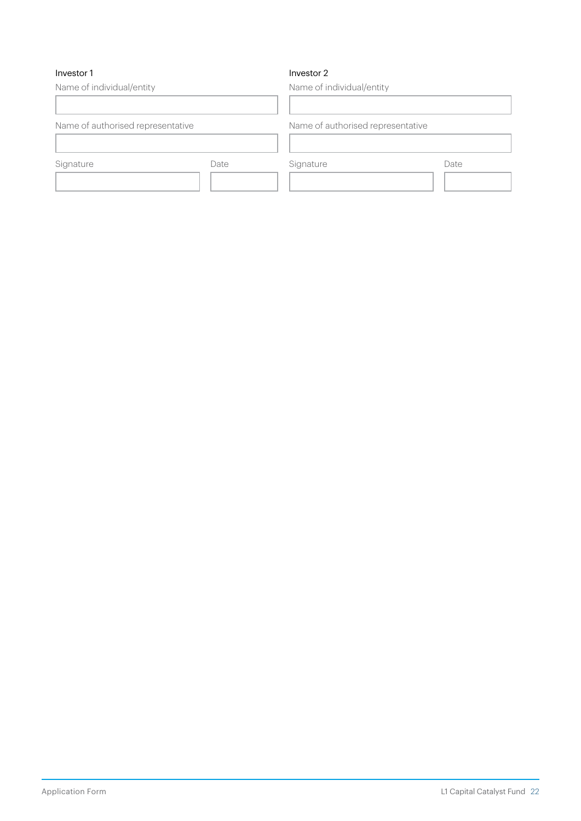# Investor 1

# Investor 2

Name of individual/entity Name of authorised representative Signature Date Name of individual/entity Name of authorised representative Signature Date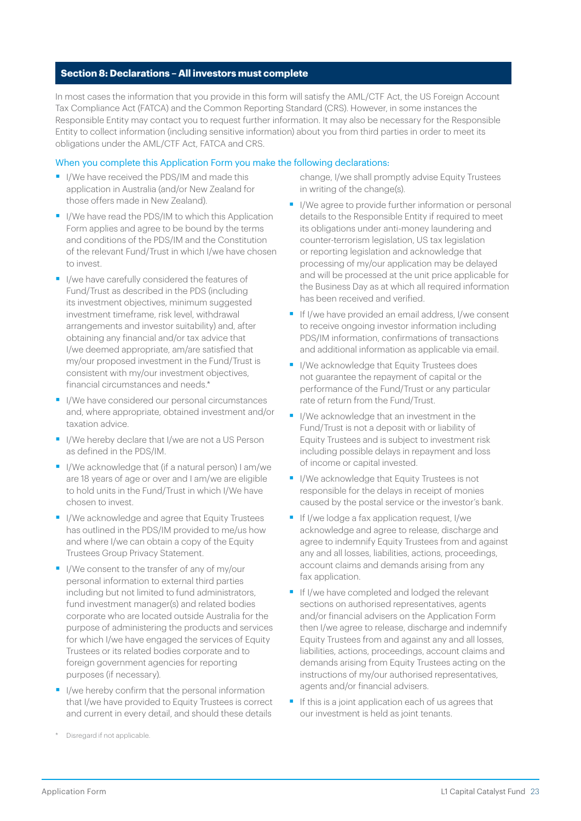# **Section 8: Declarations – All investors must complete**

In most cases the information that you provide in this form will satisfy the AML/CTF Act, the US Foreign Account Tax Compliance Act (FATCA) and the Common Reporting Standard (CRS). However, in some instances the Responsible Entity may contact you to request further information. It may also be necessary for the Responsible Entity to collect information (including sensitive information) about you from third parties in order to meet its obligations under the AML/CTF Act, FATCA and CRS.

## When you complete this Application Form you make the following declarations:

- I/We have received the PDS/IM and made this application in Australia (and/or New Zealand for those offers made in New Zealand).
- I/We have read the PDS/IM to which this Application Form applies and agree to be bound by the terms and conditions of the PDS/IM and the Constitution of the relevant Fund/Trust in which I/we have chosen to invest.
- I/we have carefully considered the features of Fund/Trust as described in the PDS (including its investment objectives, minimum suggested investment timeframe, risk level, withdrawal arrangements and investor suitability) and, after obtaining any financial and/or tax advice that I/we deemed appropriate, am/are satisfied that my/our proposed investment in the Fund/Trust is consistent with my/our investment objectives, financial circumstances and needs.\*
- I/We have considered our personal circumstances and, where appropriate, obtained investment and/or taxation advice.
- I/We hereby declare that I/we are not a US Person as defined in the PDS/IM.
- I/We acknowledge that (if a natural person) I am/we are 18 years of age or over and I am/we are eligible to hold units in the Fund/Trust in which I/We have chosen to invest.
- I/We acknowledge and agree that Equity Trustees has outlined in the PDS/IM provided to me/us how and where I/we can obtain a copy of the Equity Trustees Group Privacy Statement.
- I/We consent to the transfer of any of my/our personal information to external third parties including but not limited to fund administrators, fund investment manager(s) and related bodies corporate who are located outside Australia for the purpose of administering the products and services for which I/we have engaged the services of Equity Trustees or its related bodies corporate and to foreign government agencies for reporting purposes (if necessary).
- I/we hereby confirm that the personal information that I/we have provided to Equity Trustees is correct and current in every detail, and should these details

change, I/we shall promptly advise Equity Trustees in writing of the change(s).

- I/We agree to provide further information or personal details to the Responsible Entity if required to meet its obligations under anti-money laundering and counter-terrorism legislation, US tax legislation or reporting legislation and acknowledge that processing of my/our application may be delayed and will be processed at the unit price applicable for the Business Day as at which all required information has been received and verified.
- **•** If I/we have provided an email address, I/we consent to receive ongoing investor information including PDS/IM information, confirmations of transactions and additional information as applicable via email.
- I/We acknowledge that Equity Trustees does not guarantee the repayment of capital or the performance of the Fund/Trust or any particular rate of return from the Fund/Trust.
- I/We acknowledge that an investment in the Fund/Trust is not a deposit with or liability of Equity Trustees and is subject to investment risk including possible delays in repayment and loss of income or capital invested.
- I/We acknowledge that Equity Trustees is not responsible for the delays in receipt of monies caused by the postal service or the investor's bank.
- If I/we lodge a fax application request, I/we acknowledge and agree to release, discharge and agree to indemnify Equity Trustees from and against any and all losses, liabilities, actions, proceedings, account claims and demands arising from any fax application.
- **•** If I/we have completed and lodged the relevant sections on authorised representatives, agents and/or financial advisers on the Application Form then I/we agree to release, discharge and indemnify Equity Trustees from and against any and all losses, liabilities, actions, proceedings, account claims and demands arising from Equity Trustees acting on the instructions of my/our authorised representatives, agents and/or financial advisers.
- If this is a joint application each of us agrees that our investment is held as joint tenants.

Disregard if not applicable.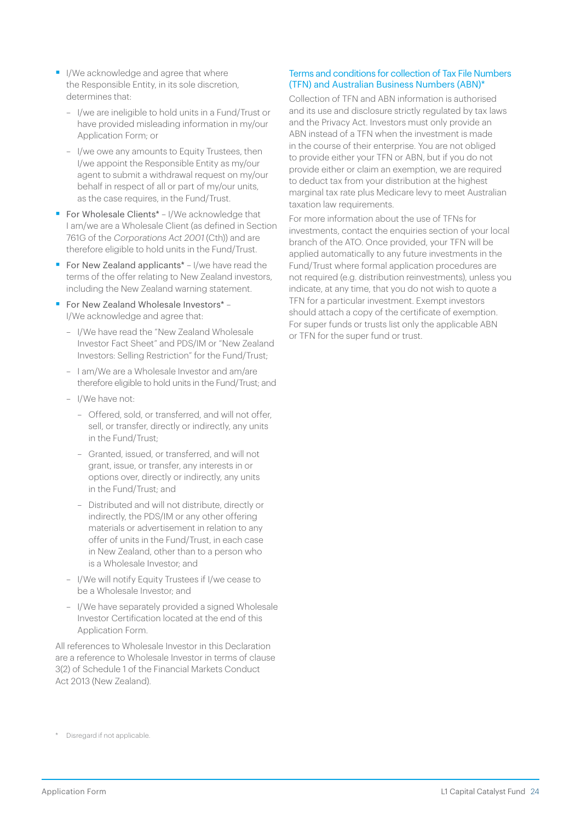- I/We acknowledge and agree that where the Responsible Entity, in its sole discretion, determines that:
	- I/we are ineligible to hold units in a Fund/Trust or have provided misleading information in my/our Application Form; or
	- I/we owe any amounts to Equity Trustees, then I/we appoint the Responsible Entity as my/our agent to submit a withdrawal request on my/our behalf in respect of all or part of my/our units, as the case requires, in the Fund/Trust.
- For Wholesale Clients<sup>\*</sup> I/We acknowledge that I am/we are a Wholesale Client (as defined in Section 761G of the Corporations Act 2001 (Cth)) and are therefore eligible to hold units in the Fund/Trust.
- For New Zealand applicants<sup>\*</sup> I/we have read the terms of the offer relating to New Zealand investors, including the New Zealand warning statement.
- For New Zealand Wholesale Investors\* -I/We acknowledge and agree that:
	- I/We have read the "New Zealand Wholesale Investor Fact Sheet" and PDS/IM or "New Zealand Investors: Selling Restriction" for the Fund/Trust;
	- I am/We are a Wholesale Investor and am/are therefore eligible to hold units in the Fund/Trust; and
	- I/We have not:
		- Offered, sold, or transferred, and will not offer, sell, or transfer, directly or indirectly, any units in the Fund/Trust;
		- Granted, issued, or transferred, and will not grant, issue, or transfer, any interests in or options over, directly or indirectly, any units in the Fund/Trust; and
		- Distributed and will not distribute, directly or indirectly, the PDS/IM or any other offering materials or advertisement in relation to any offer of units in the Fund/Trust, in each case in New Zealand, other than to a person who is a Wholesale Investor; and
	- I/We will notify Equity Trustees if I/we cease to be a Wholesale Investor; and
	- I/We have separately provided a signed Wholesale Investor Certification located at the end of this Application Form.

All references to Wholesale Investor in this Declaration are a reference to Wholesale Investor in terms of clause 3(2) of Schedule 1 of the Financial Markets Conduct Act 2013 (New Zealand).

# Terms and conditions for collection of Tax File Numbers (TFN) and Australian Business Numbers (ABN)\*

Collection of TFN and ABN information is authorised and its use and disclosure strictly regulated by tax laws and the Privacy Act. Investors must only provide an ABN instead of a TFN when the investment is made in the course of their enterprise. You are not obliged to provide either your TFN or ABN, but if you do not provide either or claim an exemption, we are required to deduct tax from your distribution at the highest marginal tax rate plus Medicare levy to meet Australian taxation law requirements.

For more information about the use of TFNs for investments, contact the enquiries section of your local branch of the ATO. Once provided, your TFN will be applied automatically to any future investments in the Fund/Trust where formal application procedures are not required (e.g. distribution reinvestments), unless you indicate, at any time, that you do not wish to quote a TFN for a particular investment. Exempt investors should attach a copy of the certificate of exemption. For super funds or trusts list only the applicable ABN or TFN for the super fund or trust.

<sup>\*</sup> Disregard if not applicable.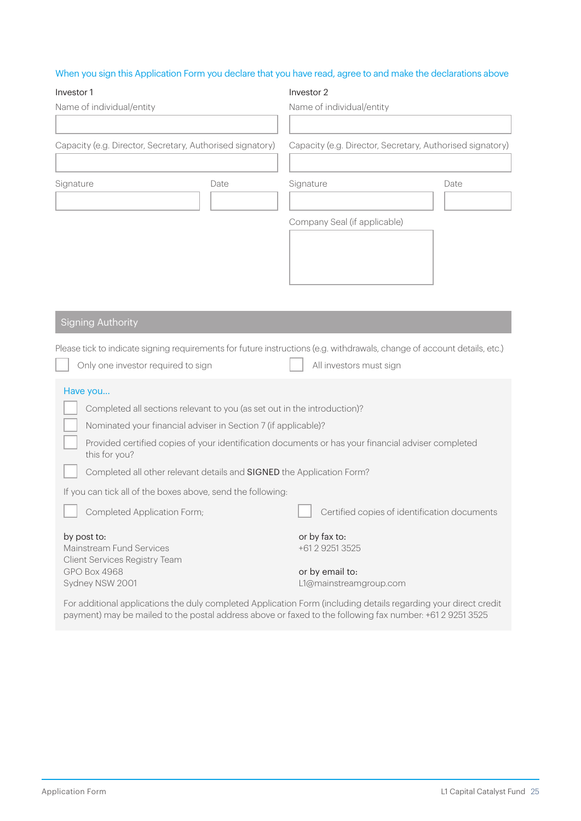# When you sign this Application Form you declare that you have read, agree to and make the declarations above

| Investor 1                                                               |                                                                          | Investor 2                                                                                                               |      |
|--------------------------------------------------------------------------|--------------------------------------------------------------------------|--------------------------------------------------------------------------------------------------------------------------|------|
| Name of individual/entity                                                |                                                                          | Name of individual/entity                                                                                                |      |
|                                                                          |                                                                          |                                                                                                                          |      |
| Capacity (e.g. Director, Secretary, Authorised signatory)                |                                                                          | Capacity (e.g. Director, Secretary, Authorised signatory)                                                                |      |
|                                                                          |                                                                          |                                                                                                                          |      |
| Signature                                                                | Date                                                                     | Signature                                                                                                                | Date |
|                                                                          |                                                                          |                                                                                                                          |      |
|                                                                          |                                                                          | Company Seal (if applicable)                                                                                             |      |
|                                                                          |                                                                          |                                                                                                                          |      |
|                                                                          |                                                                          |                                                                                                                          |      |
|                                                                          |                                                                          |                                                                                                                          |      |
|                                                                          |                                                                          |                                                                                                                          |      |
| <b>Signing Authority</b>                                                 |                                                                          |                                                                                                                          |      |
|                                                                          |                                                                          | Please tick to indicate signing requirements for future instructions (e.g. withdrawals, change of account details, etc.) |      |
| Only one investor required to sign                                       |                                                                          | All investors must sign                                                                                                  |      |
|                                                                          |                                                                          |                                                                                                                          |      |
| Have you                                                                 | Completed all sections relevant to you (as set out in the introduction)? |                                                                                                                          |      |
|                                                                          | Nominated your financial adviser in Section 7 (if applicable)?           |                                                                                                                          |      |
| this for you?                                                            |                                                                          | Provided certified copies of your identification documents or has your financial adviser completed                       |      |
|                                                                          | Completed all other relevant details and SIGNED the Application Form?    |                                                                                                                          |      |
|                                                                          | If you can tick all of the boxes above, send the following:              |                                                                                                                          |      |
| Completed Application Form;                                              |                                                                          | Certified copies of identification documents                                                                             |      |
| by post to:<br>Mainstream Fund Services<br>Client Services Registry Team |                                                                          | or by fax to:<br>+61 2 9251 3525                                                                                         |      |
| GPO Box 4968<br>Sydney NSW 2001                                          |                                                                          | or by email to:<br>L1@mainstreamgroup.com                                                                                |      |
|                                                                          |                                                                          | For additional applications the duly completed Application Form (including details regarding your direct credit          |      |

For additional applications the duly completed Application Form (including details regarding your direct credit payment) may be mailed to the postal address above or faxed to the following fax number: +61 2 9251 3525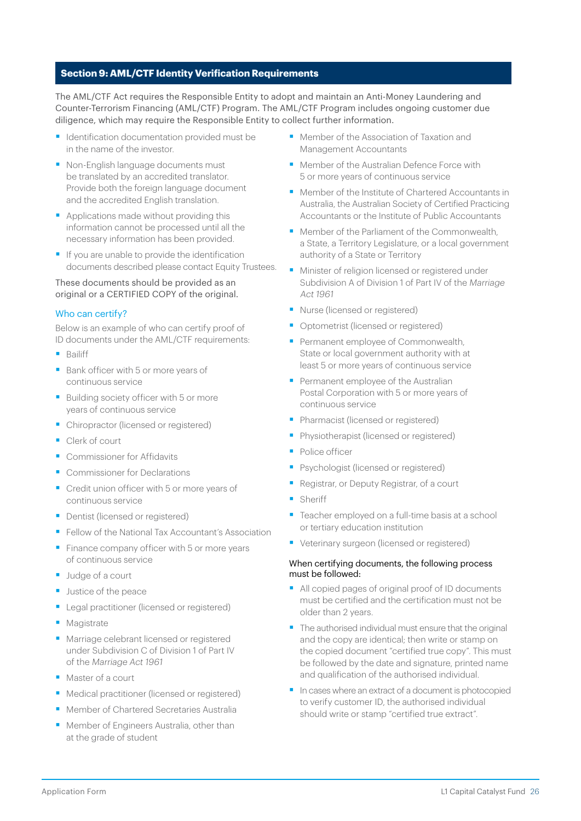# **Section 9: AML/CTF Identity Verification Requirements**

The AML/CTF Act requires the Responsible Entity to adopt and maintain an Anti-Money Laundering and Counter-Terrorism Financing (AML/CTF) Program. The AML/CTF Program includes ongoing customer due diligence, which may require the Responsible Entity to collect further information.

- Identification documentation provided must be in the name of the investor.
- Non-English language documents must be translated by an accredited translator. Provide both the foreign language document and the accredited English translation.
- Applications made without providing this information cannot be processed until all the necessary information has been provided.
- If you are unable to provide the identification documents described please contact Equity Trustees.

#### These documents should be provided as an original or a CERTIFIED COPY of the original.

# Who can certify?

Below is an example of who can certify proof of ID documents under the AML/CTF requirements:

- Bailiff
- Bank officer with 5 or more years of continuous service
- Building society officer with 5 or more years of continuous service
- Chiropractor (licensed or registered)
- Clerk of court
- Commissioner for Affidavits
- Commissioner for Declarations
- Credit union officer with 5 or more years of continuous service
- Dentist (licensed or registered)
- Fellow of the National Tax Accountant's Association
- Finance company officer with 5 or more years of continuous service
- Judge of a court
- Justice of the peace
- Legal practitioner (licensed or registered)
- Magistrate
- Marriage celebrant licensed or registered under Subdivision C of Division 1 of Part IV of the Marriage Act 1961
- Master of a court
- Medical practitioner (licensed or registered)
- Member of Chartered Secretaries Australia
- Member of Engineers Australia, other than at the grade of student
- Member of the Association of Taxation and Management Accountants
- Member of the Australian Defence Force with 5 or more years of continuous service
- Member of the Institute of Chartered Accountants in Australia, the Australian Society of Certified Practicing Accountants or the Institute of Public Accountants
- Member of the Parliament of the Commonwealth a State, a Territory Legislature, or a local government authority of a State or Territory
- Minister of religion licensed or registered under Subdivision A of Division 1 of Part IV of the Marriage Act 1961
- Nurse (licensed or registered)
- Optometrist (licensed or registered)
- Permanent employee of Commonwealth, State or local government authority with at least 5 or more years of continuous service
- Permanent employee of the Australian Postal Corporation with 5 or more years of continuous service
- Pharmacist (licensed or registered)
- Physiotherapist (licensed or registered)
- Police officer
- Psychologist (licensed or registered)
- § Registrar, or Deputy Registrar, of a court
- Sheriff
- Teacher employed on a full-time basis at a school or tertiary education institution
- Veterinary surgeon (licensed or registered)

#### When certifying documents, the following process must be followed:

- All copied pages of original proof of ID documents must be certified and the certification must not be older than 2 years.
- The authorised individual must ensure that the original and the copy are identical; then write or stamp on the copied document "certified true copy". This must be followed by the date and signature, printed name and qualification of the authorised individual.
- In cases where an extract of a document is photocopied to verify customer ID, the authorised individual should write or stamp "certified true extract".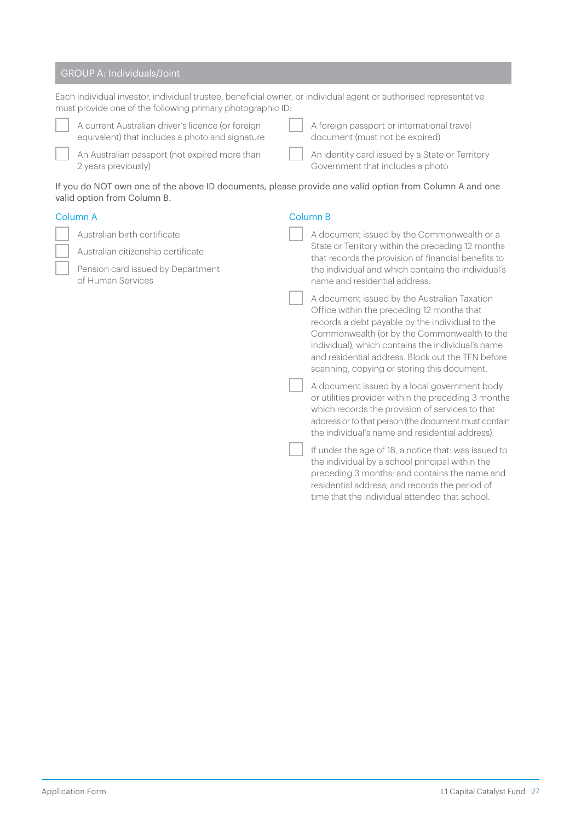# GROUP A: Individuals/Joint

|          | Each individual investor, individual trustee, beneficial owner, or individual agent or authorised representative<br>must provide one of the following primary photographic ID: |                 |                                                                                                                                                                                                                                                                                                                                                       |  |
|----------|--------------------------------------------------------------------------------------------------------------------------------------------------------------------------------|-----------------|-------------------------------------------------------------------------------------------------------------------------------------------------------------------------------------------------------------------------------------------------------------------------------------------------------------------------------------------------------|--|
|          | A current Australian driver's licence (or foreign<br>equivalent) that includes a photo and signature                                                                           |                 | A foreign passport or international travel<br>document (must not be expired)                                                                                                                                                                                                                                                                          |  |
|          | An Australian passport (not expired more than<br>2 years previously)                                                                                                           |                 | An identity card issued by a State or Territory<br>Government that includes a photo                                                                                                                                                                                                                                                                   |  |
|          | If you do NOT own one of the above ID documents, please provide one valid option from Column A and one<br>valid option from Column B.                                          |                 |                                                                                                                                                                                                                                                                                                                                                       |  |
| Column A |                                                                                                                                                                                | <b>Column B</b> |                                                                                                                                                                                                                                                                                                                                                       |  |
|          | Australian birth certificate                                                                                                                                                   |                 | A document issued by the Commonwealth or a                                                                                                                                                                                                                                                                                                            |  |
|          | Australian citizenship certificate                                                                                                                                             |                 | State or Territory within the preceding 12 months<br>that records the provision of financial benefits to                                                                                                                                                                                                                                              |  |
|          | Pension card issued by Department<br>of Human Services                                                                                                                         |                 | the individual and which contains the individual's<br>name and residential address.                                                                                                                                                                                                                                                                   |  |
|          |                                                                                                                                                                                |                 | A document issued by the Australian Taxation<br>Office within the preceding 12 months that<br>records a debt payable by the individual to the<br>Commonwealth (or by the Commonwealth to the<br>individual), which contains the individual's name<br>and residential address. Block out the TFN before<br>scanning, copying or storing this document. |  |
|          |                                                                                                                                                                                |                 | A document issued by a local government body<br>or utilities provider within the preceding 3 months<br>which records the provision of services to that<br>address or to that person (the document must contain<br>the individual's name and residential address).                                                                                     |  |
|          |                                                                                                                                                                                |                 | If under the age of 18, a notice that: was issued to<br>the individual by a school principal within the<br>preceding 3 months; and contains the name and<br>residential address; and records the period of<br>time that the individual attended that school.                                                                                          |  |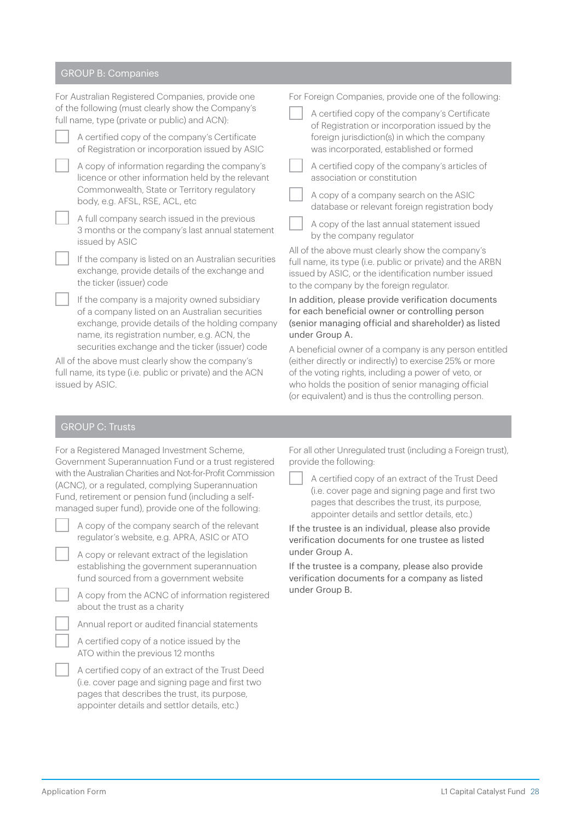# GROUP B: Companies

| For Australian Registered Companies, provide one<br>of the following (must clearly show the Company's<br>full name, type (private or public) and ACN): |                                                                                                                                                                                                      | For Foreign Companies, provide one of the following:                                                                                                                                                                           |                                                                                                                                                                                 |  |
|--------------------------------------------------------------------------------------------------------------------------------------------------------|------------------------------------------------------------------------------------------------------------------------------------------------------------------------------------------------------|--------------------------------------------------------------------------------------------------------------------------------------------------------------------------------------------------------------------------------|---------------------------------------------------------------------------------------------------------------------------------------------------------------------------------|--|
|                                                                                                                                                        |                                                                                                                                                                                                      |                                                                                                                                                                                                                                | A certified copy of the company's Certificate<br>of Registration or incorporation issued by the                                                                                 |  |
|                                                                                                                                                        | A certified copy of the company's Certificate<br>of Registration or incorporation issued by ASIC                                                                                                     |                                                                                                                                                                                                                                | foreign jurisdiction(s) in which the company<br>was incorporated, established or formed                                                                                         |  |
|                                                                                                                                                        | A copy of information regarding the company's<br>licence or other information held by the relevant                                                                                                   |                                                                                                                                                                                                                                | A certified copy of the company's articles of<br>association or constitution                                                                                                    |  |
|                                                                                                                                                        | Commonwealth, State or Territory regulatory<br>body, e.g. AFSL, RSE, ACL, etc                                                                                                                        |                                                                                                                                                                                                                                | A copy of a company search on the ASIC<br>database or relevant foreign registration body                                                                                        |  |
|                                                                                                                                                        | A full company search issued in the previous<br>3 months or the company's last annual statement<br>issued by ASIC                                                                                    |                                                                                                                                                                                                                                | A copy of the last annual statement issued<br>by the company regulator                                                                                                          |  |
|                                                                                                                                                        | If the company is listed on an Australian securities<br>exchange, provide details of the exchange and<br>the ticker (issuer) code                                                                    | All of the above must clearly show the company's<br>full name, its type (i.e. public or private) and the ARBN<br>issued by ASIC, or the identification number issued<br>to the company by the foreign regulator.               |                                                                                                                                                                                 |  |
|                                                                                                                                                        | If the company is a majority owned subsidiary<br>of a company listed on an Australian securities<br>exchange, provide details of the holding company<br>name, its registration number, e.g. ACN, the |                                                                                                                                                                                                                                | In addition, please provide verification documents<br>for each beneficial owner or controlling person<br>(senior managing official and shareholder) as listed<br>under Group A. |  |
| securities exchange and the ticker (issuer) code<br>All of the above must clearly show the company's                                                   |                                                                                                                                                                                                      | A beneficial owner of a company is any person entitled<br>(either directly or indirectly) to exercise 25% or more<br>of the voting rights, including a power of veto, or<br>who holds the position of senior managing official |                                                                                                                                                                                 |  |
| full name, its type (i.e. public or private) and the ACN<br>issued by ASIC.                                                                            |                                                                                                                                                                                                      |                                                                                                                                                                                                                                |                                                                                                                                                                                 |  |

# GROUP C: Trusts

| For a Registered Managed Investment Scheme,                 |  |  |  |  |
|-------------------------------------------------------------|--|--|--|--|
| Government Superannuation Fund or a trust registered        |  |  |  |  |
| with the Australian Charities and Not-for-Profit Commission |  |  |  |  |
| (ACNC), or a regulated, complying Superannuation            |  |  |  |  |
| Fund, retirement or pension fund (including a self-         |  |  |  |  |
| managed super fund), provide one of the following.          |  |  |  |  |

| A copy of the company search of the relevant |  |
|----------------------------------------------|--|
| regulator's website, e.g. APRA, ASIC or ATO  |  |

A copy or relevant extract of the legislation establishing the government superannuation fund sourced from a government website

A copy from the ACNC of information registered about the trust as a charity

Annual report or audited financial statements

A certified copy of a notice issued by the ATO within the previous 12 months

A certified copy of an extract of the Trust Deed (i.e. cover page and signing page and first two pages that describes the trust, its purpose, appointer details and settlor details, etc.)

For all other Unregulated trust (including a Foreign trust), provide the following:

(or equivalent) and is thus the controlling person.

A certified copy of an extract of the Trust Deed (i.e. cover page and signing page and first two pages that describes the trust, its purpose, appointer details and settlor details, etc.)

If the trustee is an individual, please also provide verification documents for one trustee as listed under Group A.

If the trustee is a company, please also provide verification documents for a company as listed under Group B.